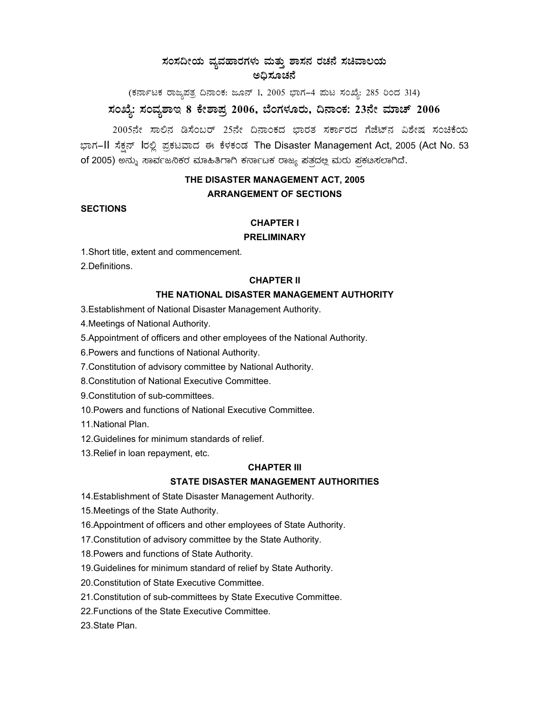## $\,$ ಸಂಸದೀಯ ವ್ಯವಹಾರಗಳು ಮತ್ತು ಶಾಸನ ರಚನೆ ಸಚಿವಾಲಯ **C¢ü¸ÀÆZÀ£É**

(ಕರ್ನಾಟಕ ರಾಜ್ಯಪತ್ರ ದಿನಾಂಕ: ಜೂನ್ 1, 2005 ಭಾಗ–4 ಮಟ ಸಂಖ್ಯೆ: 285 ರಿಂದ 314) **¸ÀASÉå: ¸ÀAªÀå±ÁE 8 PÉñÁ¥Àæ 2006, ¨ÉAUÀ¼ÀÆgÀÄ, ¢£ÁAPÀ: 23£Éà ªÀiÁZï 2006** 

2005ನೇ ಸಾಲಿನ ಡಿಸೆಂಬರ್ 25ನೇ ದಿನಾಂಕದ ಭಾರತ ಸರ್ಕಾರದ ಗೆಜೆಟ್ ವಿಶೇಷ ಸಂಚಿಕೆಯ ಭಾಗ–II ಸೆಕ್ಷನ್ lರಲ್ಲಿ ಪ್ರಕಟವಾದ ಈ ಕೆಳಕಂಡ The Disaster Management Act, 2005 (Act No. 53 of 2005) ಅನ್ನು ಸಾರ್ವಜನಿಕರ ಮಾಹಿತಿಗಾಗಿ ಕರ್ನಾಟಕ ರಾಜ್ಯ ಪತ್ರದಲ್ಲ ಮರು ಪ್ರಕಟಸಲಾಗಿದೆ.

# **THE DISASTER MANAGEMENT ACT, 2005 ARRANGEMENT OF SECTIONS**

## **SECTIONS**

## **CHAPTER I**

## **PRELIMINARY**

1.Short title, extent and commencement.

2.Definitions.

### **CHAPTER II**

## **THE NATIONAL DISASTER MANAGEMENT AUTHORITY**

3.Establishment of National Disaster Management Authority.

4.Meetings of National Authority.

5.Appointment of officers and other employees of the National Authority.

6.Powers and functions of National Authority.

7.Constitution of advisory committee by National Authority.

8.Constitution of National Executive Committee.

9.Constitution of sub-committees.

10.Powers and functions of National Executive Committee.

11.National Plan.

- 12.Guidelines for minimum standards of relief.
- 13.Relief in loan repayment, etc.

### **CHAPTER III**

## **STATE DISASTER MANAGEMENT AUTHORITIES**

- 14.Establishment of State Disaster Management Authority.
- 15.Meetings of the State Authority.
- 16.Appointment of officers and other employees of State Authority.
- 17.Constitution of advisory committee by the State Authority.
- 18.Powers and functions of State Authority.
- 19.Guidelines for minimum standard of relief by State Authority.
- 20.Constitution of State Executive Committee.
- 21.Constitution of sub-committees by State Executive Committee.
- 22.Functions of the State Executive Committee.

23.State Plan.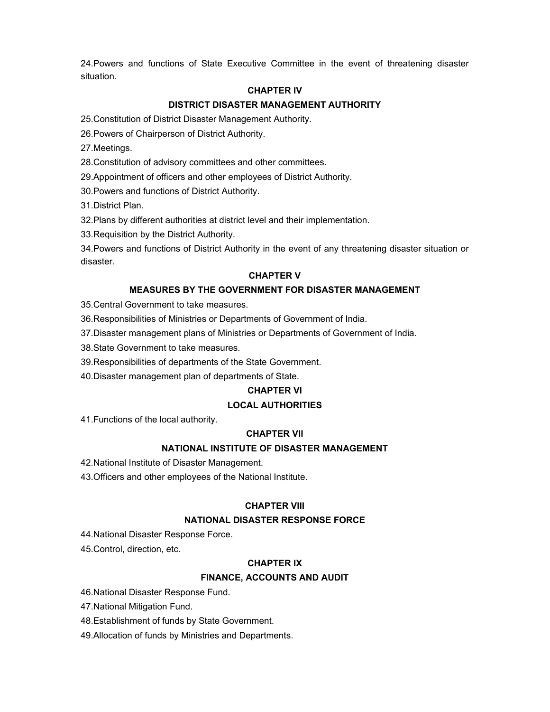24.Powers and functions of State Executive Committee in the event of threatening disaster situation.

## **CHAPTER IV**

## **DISTRICT DISASTER MANAGEMENT AUTHORITY**

25.Constitution of District Disaster Management Authority.

26.Powers of Chairperson of District Authority.

27.Meetings.

28.Constitution of advisory committees and other committees.

29.Appointment of officers and other employees of District Authority.

30.Powers and functions of District Authority.

31.District Plan.

32.Plans by different authorities at district level and their implementation.

33.Requisition by the District Authority.

34.Powers and functions of District Authority in the event of any threatening disaster situation or disaster.

### **CHAPTER V**

## **MEASURES BY THE GOVERNMENT FOR DISASTER MANAGEMENT**

35.Central Government to take measures.

36.Responsibilities of Ministries or Departments of Government of India.

37.Disaster management plans of Ministries or Departments of Government of India.

38.State Government to take measures.

39.Responsibilities of departments of the State Government.

40.Disaster management plan of departments of State.

### **CHAPTER VI**

## **LOCAL AUTHORITIES**

41.Functions of the local authority.

### **CHAPTER VII**

## **NATIONAL INSTITUTE OF DISASTER MANAGEMENT**

42.National Institute of Disaster Management.

43.Officers and other employees of the National Institute.

### **CHAPTER VIII**

## **NATIONAL DISASTER RESPONSE FORCE**

44.National Disaster Response Force.

45.Control, direction, etc.

## **CHAPTER IX**

## **FINANCE, ACCOUNTS AND AUDIT**

46.National Disaster Response Fund.

47.National Mitigation Fund.

48.Establishment of funds by State Government.

49.Allocation of funds by Ministries and Departments.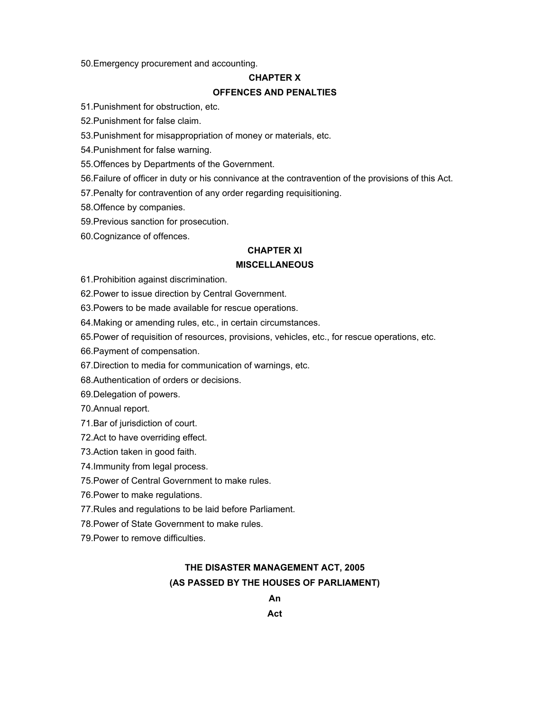50.Emergency procurement and accounting.

#### **CHAPTER X**

#### **OFFENCES AND PENALTIES**

51.Punishment for obstruction, etc.

52.Punishment for false claim.

53.Punishment for misappropriation of money or materials, etc.

54.Punishment for false warning.

55.Offences by Departments of the Government.

56.Failure of officer in duty or his connivance at the contravention of the provisions of this Act.

57.Penalty for contravention of any order regarding requisitioning.

58.Offence by companies.

59.Previous sanction for prosecution.

60.Cognizance of offences.

### **CHAPTER XI**

## **MISCELLANEOUS**

61.Prohibition against discrimination.

62.Power to issue direction by Central Government.

63.Powers to be made available for rescue operations.

64.Making or amending rules, etc., in certain circumstances.

65.Power of requisition of resources, provisions, vehicles, etc., for rescue operations, etc.

66.Payment of compensation.

67.Direction to media for communication of warnings, etc.

68.Authentication of orders or decisions.

69.Delegation of powers.

70.Annual report.

71.Bar of jurisdiction of court.

72.Act to have overriding effect.

73.Action taken in good faith.

74.Immunity from legal process.

75.Power of Central Government to make rules.

76.Power to make regulations.

77.Rules and regulations to be laid before Parliament.

78.Power of State Government to make rules.

79.Power to remove difficulties.

## **THE DISASTER MANAGEMENT ACT, 2005 (AS PASSED BY THE HOUSES OF PARLIAMENT)**

**An** 

**Act**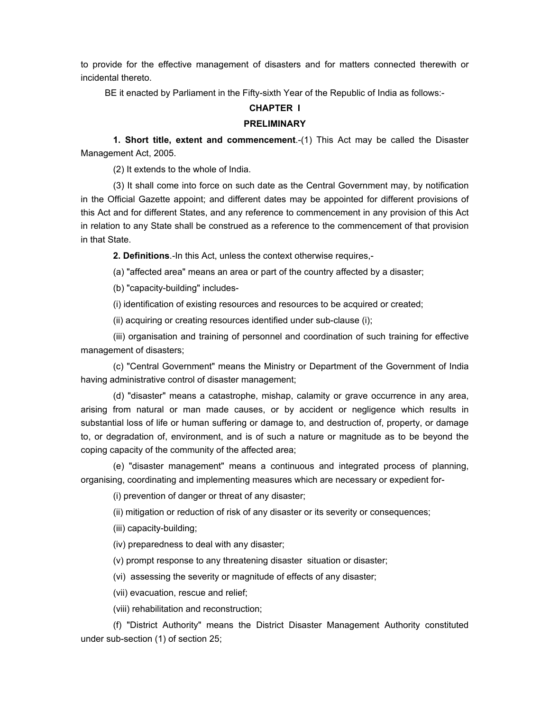to provide for the effective management of disasters and for matters connected therewith or incidental thereto.

BE it enacted by Parliament in the Fifty-sixth Year of the Republic of India as follows:-

#### **CHAPTER I**

#### **PRELIMINARY**

**1. Short title, extent and commencement**.-(1) This Act may be called the Disaster Management Act, 2005.

(2) It extends to the whole of India.

(3) It shall come into force on such date as the Central Government may, by notification in the Official Gazette appoint; and different dates may be appointed for different provisions of this Act and for different States, and any reference to commencement in any provision of this Act in relation to any State shall be construed as a reference to the commencement of that provision in that State.

**2. Definitions**.-In this Act, unless the context otherwise requires,-

(a) "affected area" means an area or part of the country affected by a disaster;

(b) "capacity-building" includes-

(i) identification of existing resources and resources to be acquired or created;

(ii) acquiring or creating resources identified under sub-clause (i);

(iii) organisation and training of personnel and coordination of such training for effective management of disasters;

(c) "Central Government" means the Ministry or Department of the Government of India having administrative control of disaster management;

(d) "disaster" means a catastrophe, mishap, calamity or grave occurrence in any area, arising from natural or man made causes, or by accident or negligence which results in substantial loss of life or human suffering or damage to, and destruction of, property, or damage to, or degradation of, environment, and is of such a nature or magnitude as to be beyond the coping capacity of the community of the affected area;

(e) "disaster management" means a continuous and integrated process of planning, organising, coordinating and implementing measures which are necessary or expedient for-

(i) prevention of danger or threat of any disaster;

(ii) mitigation or reduction of risk of any disaster or its severity or consequences;

(iii) capacity-building;

(iv) preparedness to deal with any disaster;

(v) prompt response to any threatening disaster situation or disaster;

(vi) assessing the severity or magnitude of effects of any disaster;

(vii) evacuation, rescue and relief;

(viii) rehabilitation and reconstruction;

(f) "District Authority" means the District Disaster Management Authority constituted under sub-section (1) of section 25;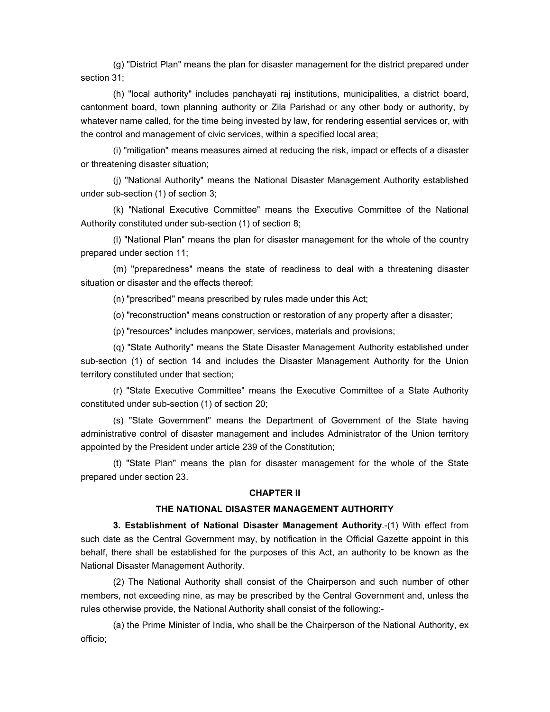(g) "District Plan" means the plan for disaster management for the district prepared under section 31;

(h) "local authority" includes panchayati raj institutions, municipalities, a district board, cantonment board, town planning authority or Zila Parishad or any other body or authority, by whatever name called, for the time being invested by law, for rendering essential services or, with the control and management of civic services, within a specified local area;

(i) "mitigation" means measures aimed at reducing the risk, impact or effects of a disaster or threatening disaster situation;

(j) "National Authority" means the National Disaster Management Authority established under sub-section (1) of section 3;

(k) "National Executive Committee" means the Executive Committee of the National Authority constituted under sub-section (1) of section 8;

(l) "National Plan" means the plan for disaster management for the whole of the country prepared under section 11;

(m) "preparedness" means the state of readiness to deal with a threatening disaster situation or disaster and the effects thereof;

(n) "prescribed" means prescribed by rules made under this Act;

(o) "reconstruction" means construction or restoration of any property after a disaster;

(p) "resources" includes manpower, services, materials and provisions;

(q) "State Authority" means the State Disaster Management Authority established under sub-section (1) of section 14 and includes the Disaster Management Authority for the Union territory constituted under that section;

(r) "State Executive Committee" means the Executive Committee of a State Authority constituted under sub-section (1) of section 20;

(s) "State Government" means the Department of Government of the State having administrative control of disaster management and includes Administrator of the Union territory appointed by the President under article 239 of the Constitution;

(t) "State Plan" means the plan for disaster management for the whole of the State prepared under section 23.

#### **CHAPTER II**

## **THE NATIONAL DISASTER MANAGEMENT AUTHORITY**

**3. Establishment of National Disaster Management Authority**.-(1) With effect from such date as the Central Government may, by notification in the Official Gazette appoint in this behalf, there shall be established for the purposes of this Act, an authority to be known as the National Disaster Management Authority.

(2) The National Authority shall consist of the Chairperson and such number of other members, not exceeding nine, as may be prescribed by the Central Government and, unless the rules otherwise provide, the National Authority shall consist of the following:-

(a) the Prime Minister of India, who shall be the Chairperson of the National Authority, ex officio;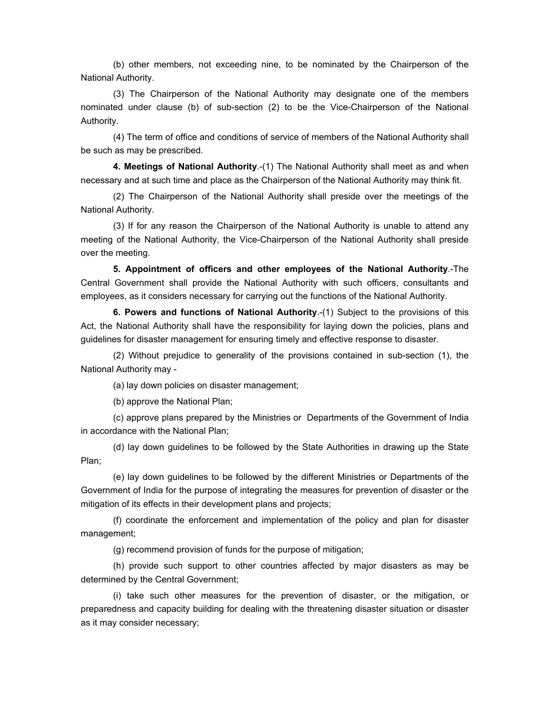(b) other members, not exceeding nine, to be nominated by the Chairperson of the National Authority.

(3) The Chairperson of the National Authority may designate one of the members nominated under clause (b) of sub-section (2) to be the Vice-Chairperson of the National Authority.

(4) The term of office and conditions of service of members of the National Authority shall be such as may be prescribed.

**4. Meetings of National Authority**.-(1) The National Authority shall meet as and when necessary and at such time and place as the Chairperson of the National Authority may think fit.

(2) The Chairperson of the National Authority shall preside over the meetings of the National Authority.

(3) If for any reason the Chairperson of the National Authority is unable to attend any meeting of the National Authority, the Vice-Chairperson of the National Authority shall preside over the meeting.

**5. Appointment of officers and other employees of the National Authority**.-The Central Government shall provide the National Authority with such officers, consultants and employees, as it considers necessary for carrying out the functions of the National Authority.

**6. Powers and functions of National Authority**.-(1) Subject to the provisions of this Act, the National Authority shall have the responsibility for laying down the policies, plans and guidelines for disaster management for ensuring timely and effective response to disaster.

(2) Without prejudice to generality of the provisions contained in sub-section (1), the National Authority may -

(a) lay down policies on disaster management;

(b) approve the National Plan;

(c) approve plans prepared by the Ministries or Departments of the Government of India in accordance with the National Plan;

(d) lay down guidelines to be followed by the State Authorities in drawing up the State Plan;

(e) lay down guidelines to be followed by the different Ministries or Departments of the Government of India for the purpose of integrating the measures for prevention of disaster or the mitigation of its effects in their development plans and projects;

(f) coordinate the enforcement and implementation of the policy and plan for disaster management;

(g) recommend provision of funds for the purpose of mitigation;

(h) provide such support to other countries affected by major disasters as may be determined by the Central Government;

(i) take such other measures for the prevention of disaster, or the mitigation, or preparedness and capacity building for dealing with the threatening disaster situation or disaster as it may consider necessary;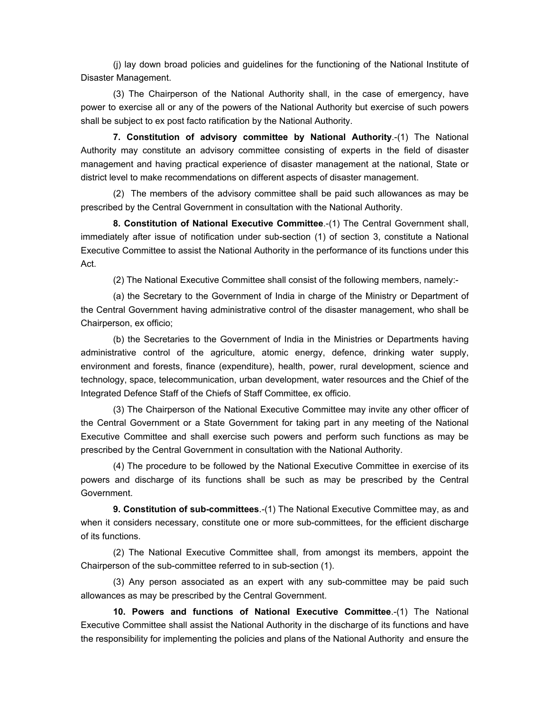(j) lay down broad policies and guidelines for the functioning of the National Institute of Disaster Management.

(3) The Chairperson of the National Authority shall, in the case of emergency, have power to exercise all or any of the powers of the National Authority but exercise of such powers shall be subject to ex post facto ratification by the National Authority.

**7. Constitution of advisory committee by National Authority**.-(1) The National Authority may constitute an advisory committee consisting of experts in the field of disaster management and having practical experience of disaster management at the national, State or district level to make recommendations on different aspects of disaster management.

(2) The members of the advisory committee shall be paid such allowances as may be prescribed by the Central Government in consultation with the National Authority.

**8. Constitution of National Executive Committee**.-(1) The Central Government shall, immediately after issue of notification under sub-section (1) of section 3, constitute a National Executive Committee to assist the National Authority in the performance of its functions under this Act.

(2) The National Executive Committee shall consist of the following members, namely:-

(a) the Secretary to the Government of India in charge of the Ministry or Department of the Central Government having administrative control of the disaster management, who shall be Chairperson, ex officio;

(b) the Secretaries to the Government of India in the Ministries or Departments having administrative control of the agriculture, atomic energy, defence, drinking water supply, environment and forests, finance (expenditure), health, power, rural development, science and technology, space, telecommunication, urban development, water resources and the Chief of the Integrated Defence Staff of the Chiefs of Staff Committee, ex officio.

(3) The Chairperson of the National Executive Committee may invite any other officer of the Central Government or a State Government for taking part in any meeting of the National Executive Committee and shall exercise such powers and perform such functions as may be prescribed by the Central Government in consultation with the National Authority.

(4) The procedure to be followed by the National Executive Committee in exercise of its powers and discharge of its functions shall be such as may be prescribed by the Central Government.

**9. Constitution of sub-committees**.-(1) The National Executive Committee may, as and when it considers necessary, constitute one or more sub-committees, for the efficient discharge of its functions.

(2) The National Executive Committee shall, from amongst its members, appoint the Chairperson of the sub-committee referred to in sub-section (1).

(3) Any person associated as an expert with any sub-committee may be paid such allowances as may be prescribed by the Central Government.

**10. Powers and functions of National Executive Committee**.-(1) The National Executive Committee shall assist the National Authority in the discharge of its functions and have the responsibility for implementing the policies and plans of the National Authority and ensure the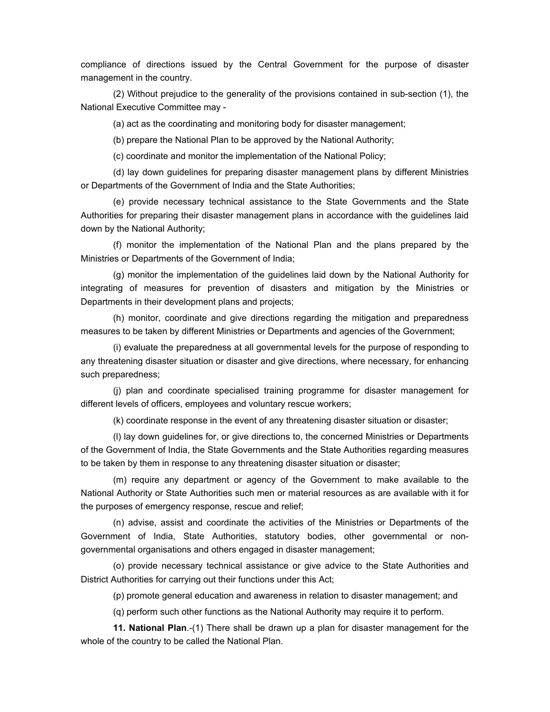compliance of directions issued by the Central Government for the purpose of disaster management in the country.

(2) Without prejudice to the generality of the provisions contained in sub-section (1), the National Executive Committee may -

(a) act as the coordinating and monitoring body for disaster management;

(b) prepare the National Plan to be approved by the National Authority;

(c) coordinate and monitor the implementation of the National Policy;

(d) lay down guidelines for preparing disaster management plans by different Ministries or Departments of the Government of India and the State Authorities;

(e) provide necessary technical assistance to the State Governments and the State Authorities for preparing their disaster management plans in accordance with the guidelines laid down by the National Authority;

(f) monitor the implementation of the National Plan and the plans prepared by the Ministries or Departments of the Government of India;

(g) monitor the implementation of the guidelines laid down by the National Authority for integrating of measures for prevention of disasters and mitigation by the Ministries or Departments in their development plans and projects;

(h) monitor, coordinate and give directions regarding the mitigation and preparedness measures to be taken by different Ministries or Departments and agencies of the Government;

(i) evaluate the preparedness at all governmental levels for the purpose of responding to any threatening disaster situation or disaster and give directions, where necessary, for enhancing such preparedness;

(j) plan and coordinate specialised training programme for disaster management for different levels of officers, employees and voluntary rescue workers;

(k) coordinate response in the event of any threatening disaster situation or disaster;

(l) lay down guidelines for, or give directions to, the concerned Ministries or Departments of the Government of India, the State Governments and the State Authorities regarding measures to be taken by them in response to any threatening disaster situation or disaster;

(m) require any department or agency of the Government to make available to the National Authority or State Authorities such men or material resources as are available with it for the purposes of emergency response, rescue and relief;

(n) advise, assist and coordinate the activities of the Ministries or Departments of the Government of India, State Authorities, statutory bodies, other governmental or nongovernmental organisations and others engaged in disaster management;

(o) provide necessary technical assistance or give advice to the State Authorities and District Authorities for carrying out their functions under this Act;

(p) promote general education and awareness in relation to disaster management; and

(q) perform such other functions as the National Authority may require it to perform.

**11. National Plan**.-(1) There shall be drawn up a plan for disaster management for the whole of the country to be called the National Plan.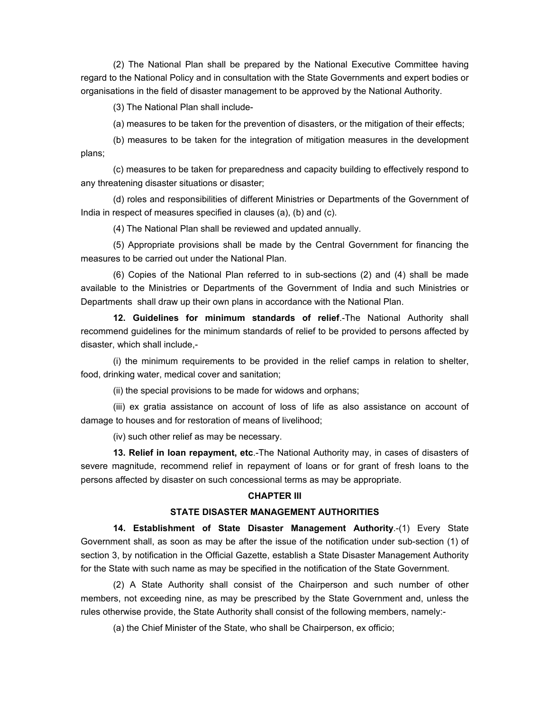(2) The National Plan shall be prepared by the National Executive Committee having regard to the National Policy and in consultation with the State Governments and expert bodies or organisations in the field of disaster management to be approved by the National Authority.

(3) The National Plan shall include-

(a) measures to be taken for the prevention of disasters, or the mitigation of their effects;

(b) measures to be taken for the integration of mitigation measures in the development plans;

(c) measures to be taken for preparedness and capacity building to effectively respond to any threatening disaster situations or disaster;

(d) roles and responsibilities of different Ministries or Departments of the Government of India in respect of measures specified in clauses (a), (b) and (c).

(4) The National Plan shall be reviewed and updated annually.

(5) Appropriate provisions shall be made by the Central Government for financing the measures to be carried out under the National Plan.

(6) Copies of the National Plan referred to in sub-sections (2) and (4) shall be made available to the Ministries or Departments of the Government of India and such Ministries or Departments shall draw up their own plans in accordance with the National Plan.

**12. Guidelines for minimum standards of relief**.-The National Authority shall recommend guidelines for the minimum standards of relief to be provided to persons affected by disaster, which shall include,-

(i) the minimum requirements to be provided in the relief camps in relation to shelter, food, drinking water, medical cover and sanitation;

(ii) the special provisions to be made for widows and orphans;

(iii) ex gratia assistance on account of loss of life as also assistance on account of damage to houses and for restoration of means of livelihood;

(iv) such other relief as may be necessary.

**13. Relief in loan repayment, etc**.-The National Authority may, in cases of disasters of severe magnitude, recommend relief in repayment of loans or for grant of fresh loans to the persons affected by disaster on such concessional terms as may be appropriate.

#### **CHAPTER III**

### **STATE DISASTER MANAGEMENT AUTHORITIES**

**14. Establishment of State Disaster Management Authority**.-(1) Every State Government shall, as soon as may be after the issue of the notification under sub-section (1) of section 3, by notification in the Official Gazette, establish a State Disaster Management Authority for the State with such name as may be specified in the notification of the State Government.

(2) A State Authority shall consist of the Chairperson and such number of other members, not exceeding nine, as may be prescribed by the State Government and, unless the rules otherwise provide, the State Authority shall consist of the following members, namely:-

(a) the Chief Minister of the State, who shall be Chairperson, ex officio;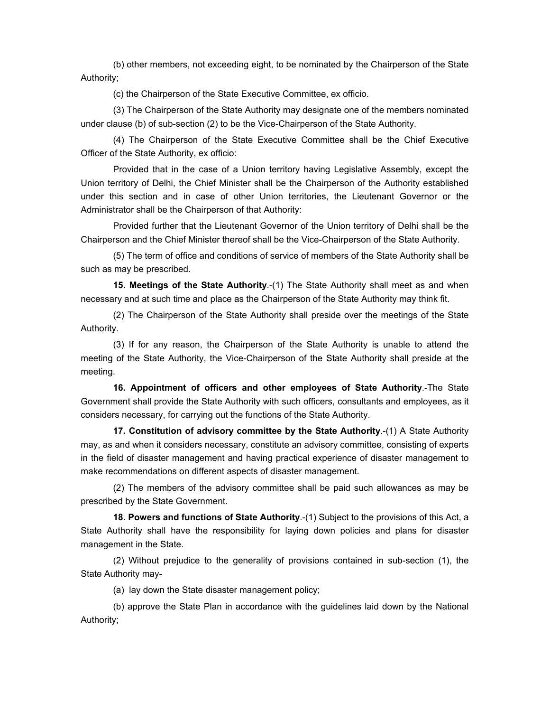(b) other members, not exceeding eight, to be nominated by the Chairperson of the State Authority;

(c) the Chairperson of the State Executive Committee, ex officio.

(3) The Chairperson of the State Authority may designate one of the members nominated under clause (b) of sub-section (2) to be the Vice-Chairperson of the State Authority.

(4) The Chairperson of the State Executive Committee shall be the Chief Executive Officer of the State Authority, ex officio:

Provided that in the case of a Union territory having Legislative Assembly, except the Union territory of Delhi, the Chief Minister shall be the Chairperson of the Authority established under this section and in case of other Union territories, the Lieutenant Governor or the Administrator shall be the Chairperson of that Authority:

Provided further that the Lieutenant Governor of the Union territory of Delhi shall be the Chairperson and the Chief Minister thereof shall be the Vice-Chairperson of the State Authority.

(5) The term of office and conditions of service of members of the State Authority shall be such as may be prescribed.

**15. Meetings of the State Authority**.-(1) The State Authority shall meet as and when necessary and at such time and place as the Chairperson of the State Authority may think fit.

(2) The Chairperson of the State Authority shall preside over the meetings of the State Authority.

(3) If for any reason, the Chairperson of the State Authority is unable to attend the meeting of the State Authority, the Vice-Chairperson of the State Authority shall preside at the meeting.

**16. Appointment of officers and other employees of State Authority**.-The State Government shall provide the State Authority with such officers, consultants and employees, as it considers necessary, for carrying out the functions of the State Authority.

**17. Constitution of advisory committee by the State Authority**.-(1) A State Authority may, as and when it considers necessary, constitute an advisory committee, consisting of experts in the field of disaster management and having practical experience of disaster management to make recommendations on different aspects of disaster management.

(2) The members of the advisory committee shall be paid such allowances as may be prescribed by the State Government.

**18. Powers and functions of State Authority**.-(1) Subject to the provisions of this Act, a State Authority shall have the responsibility for laying down policies and plans for disaster management in the State.

(2) Without prejudice to the generality of provisions contained in sub-section (1), the State Authority may-

(a) lay down the State disaster management policy;

(b) approve the State Plan in accordance with the guidelines laid down by the National Authority;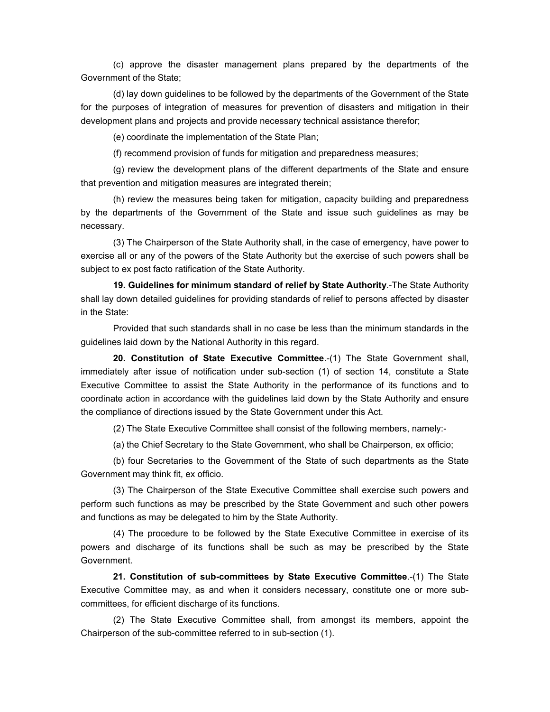(c) approve the disaster management plans prepared by the departments of the Government of the State;

(d) lay down guidelines to be followed by the departments of the Government of the State for the purposes of integration of measures for prevention of disasters and mitigation in their development plans and projects and provide necessary technical assistance therefor;

(e) coordinate the implementation of the State Plan;

(f) recommend provision of funds for mitigation and preparedness measures;

(g) review the development plans of the different departments of the State and ensure that prevention and mitigation measures are integrated therein;

(h) review the measures being taken for mitigation, capacity building and preparedness by the departments of the Government of the State and issue such guidelines as may be necessary.

(3) The Chairperson of the State Authority shall, in the case of emergency, have power to exercise all or any of the powers of the State Authority but the exercise of such powers shall be subject to ex post facto ratification of the State Authority.

**19. Guidelines for minimum standard of relief by State Authority**.-The State Authority shall lay down detailed guidelines for providing standards of relief to persons affected by disaster in the State:

Provided that such standards shall in no case be less than the minimum standards in the guidelines laid down by the National Authority in this regard.

**20. Constitution of State Executive Committee**.-(1) The State Government shall, immediately after issue of notification under sub-section (1) of section 14, constitute a State Executive Committee to assist the State Authority in the performance of its functions and to coordinate action in accordance with the guidelines laid down by the State Authority and ensure the compliance of directions issued by the State Government under this Act.

(2) The State Executive Committee shall consist of the following members, namely:-

(a) the Chief Secretary to the State Government, who shall be Chairperson, ex officio;

(b) four Secretaries to the Government of the State of such departments as the State Government may think fit, ex officio.

(3) The Chairperson of the State Executive Committee shall exercise such powers and perform such functions as may be prescribed by the State Government and such other powers and functions as may be delegated to him by the State Authority.

(4) The procedure to be followed by the State Executive Committee in exercise of its powers and discharge of its functions shall be such as may be prescribed by the State Government.

**21. Constitution of sub-committees by State Executive Committee**.-(1) The State Executive Committee may, as and when it considers necessary, constitute one or more subcommittees, for efficient discharge of its functions.

(2) The State Executive Committee shall, from amongst its members, appoint the Chairperson of the sub-committee referred to in sub-section (1).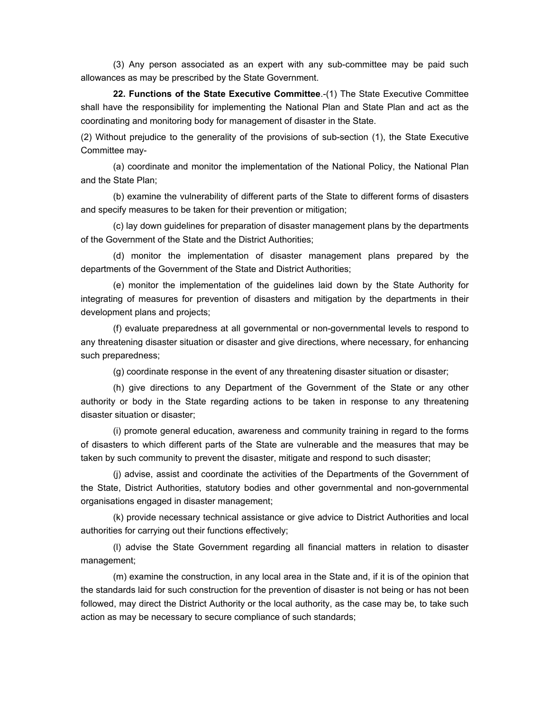(3) Any person associated as an expert with any sub-committee may be paid such allowances as may be prescribed by the State Government.

**22. Functions of the State Executive Committee**.-(1) The State Executive Committee shall have the responsibility for implementing the National Plan and State Plan and act as the coordinating and monitoring body for management of disaster in the State.

(2) Without prejudice to the generality of the provisions of sub-section (1), the State Executive Committee may-

(a) coordinate and monitor the implementation of the National Policy, the National Plan and the State Plan;

(b) examine the vulnerability of different parts of the State to different forms of disasters and specify measures to be taken for their prevention or mitigation;

(c) lay down guidelines for preparation of disaster management plans by the departments of the Government of the State and the District Authorities;

(d) monitor the implementation of disaster management plans prepared by the departments of the Government of the State and District Authorities;

(e) monitor the implementation of the guidelines laid down by the State Authority for integrating of measures for prevention of disasters and mitigation by the departments in their development plans and projects;

(f) evaluate preparedness at all governmental or non-governmental levels to respond to any threatening disaster situation or disaster and give directions, where necessary, for enhancing such preparedness;

(g) coordinate response in the event of any threatening disaster situation or disaster;

(h) give directions to any Department of the Government of the State or any other authority or body in the State regarding actions to be taken in response to any threatening disaster situation or disaster;

(i) promote general education, awareness and community training in regard to the forms of disasters to which different parts of the State are vulnerable and the measures that may be taken by such community to prevent the disaster, mitigate and respond to such disaster;

(j) advise, assist and coordinate the activities of the Departments of the Government of the State, District Authorities, statutory bodies and other governmental and non-governmental organisations engaged in disaster management;

(k) provide necessary technical assistance or give advice to District Authorities and local authorities for carrying out their functions effectively;

(l) advise the State Government regarding all financial matters in relation to disaster management;

(m) examine the construction, in any local area in the State and, if it is of the opinion that the standards laid for such construction for the prevention of disaster is not being or has not been followed, may direct the District Authority or the local authority, as the case may be, to take such action as may be necessary to secure compliance of such standards;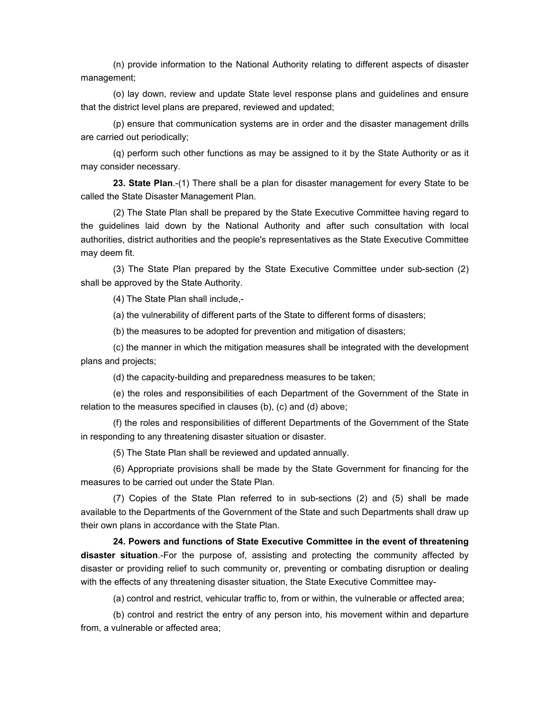(n) provide information to the National Authority relating to different aspects of disaster management;

(o) lay down, review and update State level response plans and guidelines and ensure that the district level plans are prepared, reviewed and updated;

(p) ensure that communication systems are in order and the disaster management drills are carried out periodically;

(q) perform such other functions as may be assigned to it by the State Authority or as it may consider necessary.

**23. State Plan**.-(1) There shall be a plan for disaster management for every State to be called the State Disaster Management Plan.

(2) The State Plan shall be prepared by the State Executive Committee having regard to the guidelines laid down by the National Authority and after such consultation with local authorities, district authorities and the people's representatives as the State Executive Committee may deem fit.

(3) The State Plan prepared by the State Executive Committee under sub-section (2) shall be approved by the State Authority.

(4) The State Plan shall include,-

(a) the vulnerability of different parts of the State to different forms of disasters;

(b) the measures to be adopted for prevention and mitigation of disasters;

(c) the manner in which the mitigation measures shall be integrated with the development plans and projects;

(d) the capacity-building and preparedness measures to be taken;

(e) the roles and responsibilities of each Department of the Government of the State in relation to the measures specified in clauses (b), (c) and (d) above;

(f) the roles and responsibilities of different Departments of the Government of the State in responding to any threatening disaster situation or disaster.

(5) The State Plan shall be reviewed and updated annually.

(6) Appropriate provisions shall be made by the State Government for financing for the measures to be carried out under the State Plan.

(7) Copies of the State Plan referred to in sub-sections (2) and (5) shall be made available to the Departments of the Government of the State and such Departments shall draw up their own plans in accordance with the State Plan.

**24. Powers and functions of State Executive Committee in the event of threatening disaster situation**.-For the purpose of, assisting and protecting the community affected by disaster or providing relief to such community or, preventing or combating disruption or dealing with the effects of any threatening disaster situation, the State Executive Committee may-

(a) control and restrict, vehicular traffic to, from or within, the vulnerable or affected area;

(b) control and restrict the entry of any person into, his movement within and departure from, a vulnerable or affected area;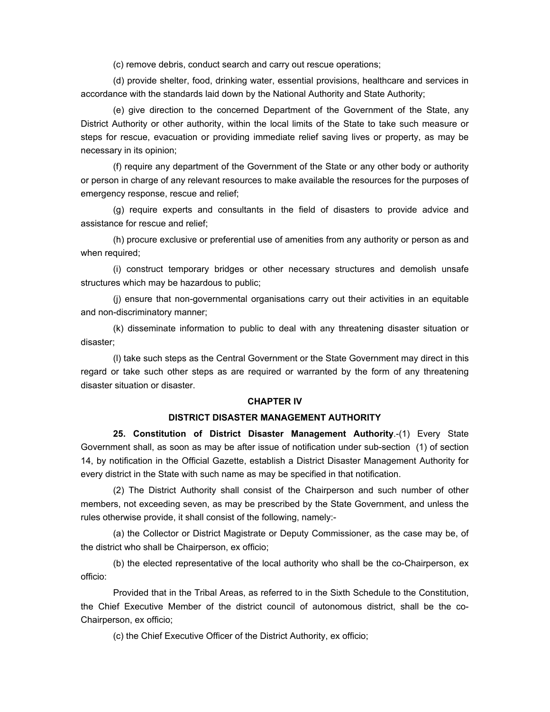(c) remove debris, conduct search and carry out rescue operations;

(d) provide shelter, food, drinking water, essential provisions, healthcare and services in accordance with the standards laid down by the National Authority and State Authority;

(e) give direction to the concerned Department of the Government of the State, any District Authority or other authority, within the local limits of the State to take such measure or steps for rescue, evacuation or providing immediate relief saving lives or property, as may be necessary in its opinion;

(f) require any department of the Government of the State or any other body or authority or person in charge of any relevant resources to make available the resources for the purposes of emergency response, rescue and relief;

(g) require experts and consultants in the field of disasters to provide advice and assistance for rescue and relief;

(h) procure exclusive or preferential use of amenities from any authority or person as and when required;

(i) construct temporary bridges or other necessary structures and demolish unsafe structures which may be hazardous to public;

(j) ensure that non-governmental organisations carry out their activities in an equitable and non-discriminatory manner;

(k) disseminate information to public to deal with any threatening disaster situation or disaster;

(l) take such steps as the Central Government or the State Government may direct in this regard or take such other steps as are required or warranted by the form of any threatening disaster situation or disaster.

#### **CHAPTER IV**

#### **DISTRICT DISASTER MANAGEMENT AUTHORITY**

**25. Constitution of District Disaster Management Authority**.-(1) Every State Government shall, as soon as may be after issue of notification under sub-section (1) of section 14, by notification in the Official Gazette, establish a District Disaster Management Authority for every district in the State with such name as may be specified in that notification.

(2) The District Authority shall consist of the Chairperson and such number of other members, not exceeding seven, as may be prescribed by the State Government, and unless the rules otherwise provide, it shall consist of the following, namely:-

(a) the Collector or District Magistrate or Deputy Commissioner, as the case may be, of the district who shall be Chairperson, ex officio;

(b) the elected representative of the local authority who shall be the co-Chairperson, ex officio:

Provided that in the Tribal Areas, as referred to in the Sixth Schedule to the Constitution, the Chief Executive Member of the district council of autonomous district, shall be the co-Chairperson, ex officio;

(c) the Chief Executive Officer of the District Authority, ex officio;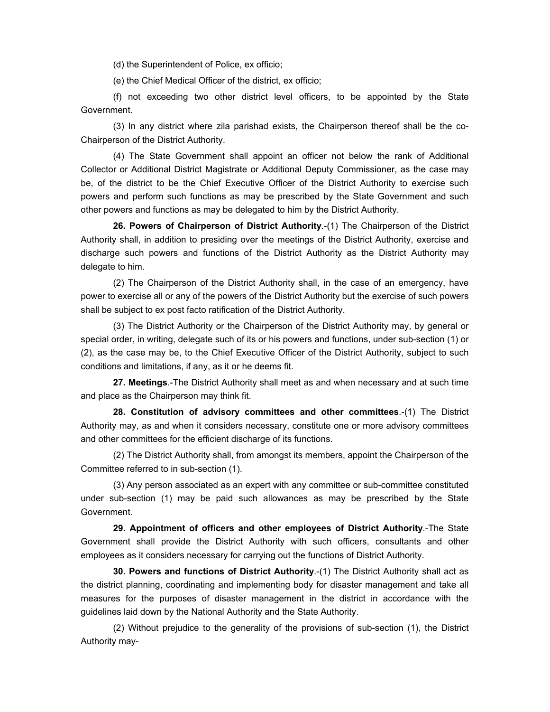(d) the Superintendent of Police, ex officio;

(e) the Chief Medical Officer of the district, ex officio;

(f) not exceeding two other district level officers, to be appointed by the State Government.

(3) In any district where zila parishad exists, the Chairperson thereof shall be the co-Chairperson of the District Authority.

(4) The State Government shall appoint an officer not below the rank of Additional Collector or Additional District Magistrate or Additional Deputy Commissioner, as the case may be, of the district to be the Chief Executive Officer of the District Authority to exercise such powers and perform such functions as may be prescribed by the State Government and such other powers and functions as may be delegated to him by the District Authority.

**26. Powers of Chairperson of District Authority**.-(1) The Chairperson of the District Authority shall, in addition to presiding over the meetings of the District Authority, exercise and discharge such powers and functions of the District Authority as the District Authority may delegate to him.

(2) The Chairperson of the District Authority shall, in the case of an emergency, have power to exercise all or any of the powers of the District Authority but the exercise of such powers shall be subject to ex post facto ratification of the District Authority.

(3) The District Authority or the Chairperson of the District Authority may, by general or special order, in writing, delegate such of its or his powers and functions, under sub-section (1) or (2), as the case may be, to the Chief Executive Officer of the District Authority, subject to such conditions and limitations, if any, as it or he deems fit.

**27. Meetings**.-The District Authority shall meet as and when necessary and at such time and place as the Chairperson may think fit.

**28. Constitution of advisory committees and other committees**.-(1) The District Authority may, as and when it considers necessary, constitute one or more advisory committees and other committees for the efficient discharge of its functions.

(2) The District Authority shall, from amongst its members, appoint the Chairperson of the Committee referred to in sub-section (1).

(3) Any person associated as an expert with any committee or sub-committee constituted under sub-section (1) may be paid such allowances as may be prescribed by the State Government.

**29. Appointment of officers and other employees of District Authority**.-The State Government shall provide the District Authority with such officers, consultants and other employees as it considers necessary for carrying out the functions of District Authority.

**30. Powers and functions of District Authority**.-(1) The District Authority shall act as the district planning, coordinating and implementing body for disaster management and take all measures for the purposes of disaster management in the district in accordance with the guidelines laid down by the National Authority and the State Authority.

(2) Without prejudice to the generality of the provisions of sub-section (1), the District Authority may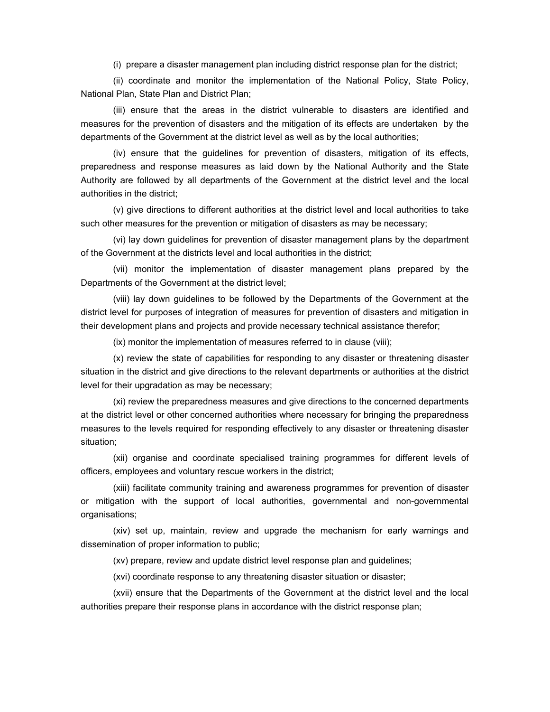(i) prepare a disaster management plan including district response plan for the district;

(ii) coordinate and monitor the implementation of the National Policy, State Policy, National Plan, State Plan and District Plan;

(iii) ensure that the areas in the district vulnerable to disasters are identified and measures for the prevention of disasters and the mitigation of its effects are undertaken by the departments of the Government at the district level as well as by the local authorities;

(iv) ensure that the guidelines for prevention of disasters, mitigation of its effects, preparedness and response measures as laid down by the National Authority and the State Authority are followed by all departments of the Government at the district level and the local authorities in the district;

(v) give directions to different authorities at the district level and local authorities to take such other measures for the prevention or mitigation of disasters as may be necessary;

(vi) lay down guidelines for prevention of disaster management plans by the department of the Government at the districts level and local authorities in the district;

(vii) monitor the implementation of disaster management plans prepared by the Departments of the Government at the district level;

(viii) lay down guidelines to be followed by the Departments of the Government at the district level for purposes of integration of measures for prevention of disasters and mitigation in their development plans and projects and provide necessary technical assistance therefor;

(ix) monitor the implementation of measures referred to in clause (viii);

(x) review the state of capabilities for responding to any disaster or threatening disaster situation in the district and give directions to the relevant departments or authorities at the district level for their upgradation as may be necessary;

(xi) review the preparedness measures and give directions to the concerned departments at the district level or other concerned authorities where necessary for bringing the preparedness measures to the levels required for responding effectively to any disaster or threatening disaster situation;

(xii) organise and coordinate specialised training programmes for different levels of officers, employees and voluntary rescue workers in the district;

(xiii) facilitate community training and awareness programmes for prevention of disaster or mitigation with the support of local authorities, governmental and non-governmental organisations;

(xiv) set up, maintain, review and upgrade the mechanism for early warnings and dissemination of proper information to public;

(xv) prepare, review and update district level response plan and guidelines;

(xvi) coordinate response to any threatening disaster situation or disaster;

(xvii) ensure that the Departments of the Government at the district level and the local authorities prepare their response plans in accordance with the district response plan;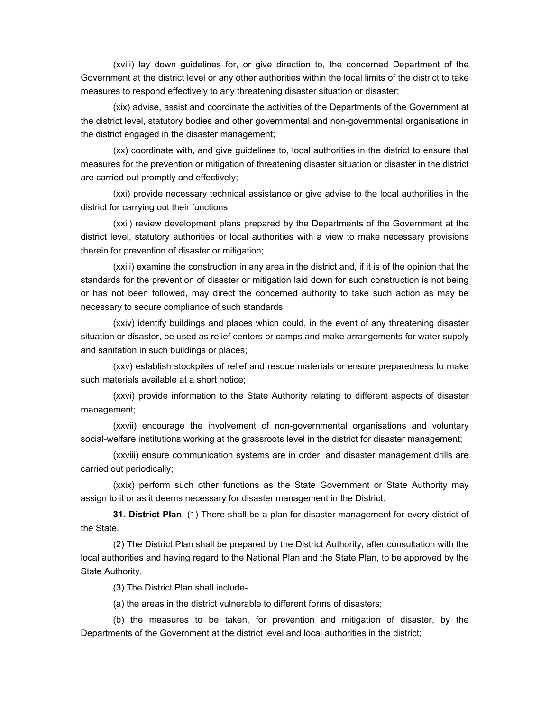(xviii) lay down guidelines for, or give direction to, the concerned Department of the Government at the district level or any other authorities within the local limits of the district to take measures to respond effectively to any threatening disaster situation or disaster;

(xix) advise, assist and coordinate the activities of the Departments of the Government at the district level, statutory bodies and other governmental and non-governmental organisations in the district engaged in the disaster management;

(xx) coordinate with, and give guidelines to, local authorities in the district to ensure that measures for the prevention or mitigation of threatening disaster situation or disaster in the district are carried out promptly and effectively;

(xxi) provide necessary technical assistance or give advise to the local authorities in the district for carrying out their functions;

(xxii) review development plans prepared by the Departments of the Government at the district level, statutory authorities or local authorities with a view to make necessary provisions therein for prevention of disaster or mitigation;

(xxiii) examine the construction in any area in the district and, if it is of the opinion that the standards for the prevention of disaster or mitigation laid down for such construction is not being or has not been followed, may direct the concerned authority to take such action as may be necessary to secure compliance of such standards;

(xxiv) identify buildings and places which could, in the event of any threatening disaster situation or disaster, be used as relief centers or camps and make arrangements for water supply and sanitation in such buildings or places;

(xxv) establish stockpiles of relief and rescue materials or ensure preparedness to make such materials available at a short notice;

(xxvi) provide information to the State Authority relating to different aspects of disaster management;

(xxvii) encourage the involvement of non-governmental organisations and voluntary social-welfare institutions working at the grassroots level in the district for disaster management;

(xxviii) ensure communication systems are in order, and disaster management drills are carried out periodically;

(xxix) perform such other functions as the State Government or State Authority may assign to it or as it deems necessary for disaster management in the District.

**31. District Plan**.-(1) There shall be a plan for disaster management for every district of the State.

(2) The District Plan shall be prepared by the District Authority, after consultation with the local authorities and having regard to the National Plan and the State Plan, to be approved by the State Authority.

(3) The District Plan shall include-

(a) the areas in the district vulnerable to different forms of disasters;

(b) the measures to be taken, for prevention and mitigation of disaster, by the Departments of the Government at the district level and local authorities in the district;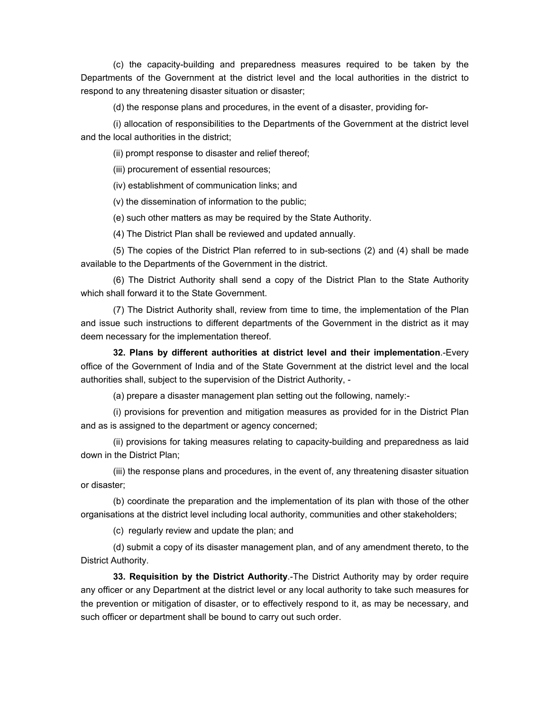(c) the capacity-building and preparedness measures required to be taken by the Departments of the Government at the district level and the local authorities in the district to respond to any threatening disaster situation or disaster;

(d) the response plans and procedures, in the event of a disaster, providing for-

(i) allocation of responsibilities to the Departments of the Government at the district level and the local authorities in the district;

(ii) prompt response to disaster and relief thereof;

(iii) procurement of essential resources;

(iv) establishment of communication links; and

(v) the dissemination of information to the public;

(e) such other matters as may be required by the State Authority.

(4) The District Plan shall be reviewed and updated annually.

(5) The copies of the District Plan referred to in sub-sections (2) and (4) shall be made available to the Departments of the Government in the district.

(6) The District Authority shall send a copy of the District Plan to the State Authority which shall forward it to the State Government.

(7) The District Authority shall, review from time to time, the implementation of the Plan and issue such instructions to different departments of the Government in the district as it may deem necessary for the implementation thereof.

**32. Plans by different authorities at district level and their implementation**.-Every office of the Government of India and of the State Government at the district level and the local authorities shall, subject to the supervision of the District Authority, -

(a) prepare a disaster management plan setting out the following, namely:-

(i) provisions for prevention and mitigation measures as provided for in the District Plan and as is assigned to the department or agency concerned;

(ii) provisions for taking measures relating to capacity-building and preparedness as laid down in the District Plan;

(iii) the response plans and procedures, in the event of, any threatening disaster situation or disaster;

(b) coordinate the preparation and the implementation of its plan with those of the other organisations at the district level including local authority, communities and other stakeholders;

(c) regularly review and update the plan; and

(d) submit a copy of its disaster management plan, and of any amendment thereto, to the District Authority.

**33. Requisition by the District Authority**.-The District Authority may by order require any officer or any Department at the district level or any local authority to take such measures for the prevention or mitigation of disaster, or to effectively respond to it, as may be necessary, and such officer or department shall be bound to carry out such order.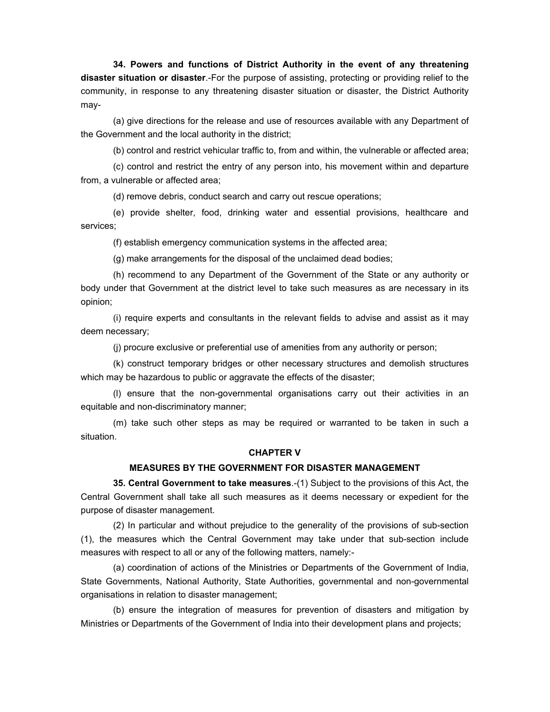**34. Powers and functions of District Authority in the event of any threatening disaster situation or disaster**.-For the purpose of assisting, protecting or providing relief to the community, in response to any threatening disaster situation or disaster, the District Authority may-

(a) give directions for the release and use of resources available with any Department of the Government and the local authority in the district;

(b) control and restrict vehicular traffic to, from and within, the vulnerable or affected area;

(c) control and restrict the entry of any person into, his movement within and departure from, a vulnerable or affected area;

(d) remove debris, conduct search and carry out rescue operations;

(e) provide shelter, food, drinking water and essential provisions, healthcare and services;

(f) establish emergency communication systems in the affected area;

(g) make arrangements for the disposal of the unclaimed dead bodies;

(h) recommend to any Department of the Government of the State or any authority or body under that Government at the district level to take such measures as are necessary in its opinion;

(i) require experts and consultants in the relevant fields to advise and assist as it may deem necessary;

(j) procure exclusive or preferential use of amenities from any authority or person;

(k) construct temporary bridges or other necessary structures and demolish structures which may be hazardous to public or aggravate the effects of the disaster;

(l) ensure that the non-governmental organisations carry out their activities in an equitable and non-discriminatory manner;

(m) take such other steps as may be required or warranted to be taken in such a situation.

### **CHAPTER V**

#### **MEASURES BY THE GOVERNMENT FOR DISASTER MANAGEMENT**

**35. Central Government to take measures**.-(1) Subject to the provisions of this Act, the Central Government shall take all such measures as it deems necessary or expedient for the purpose of disaster management.

(2) In particular and without prejudice to the generality of the provisions of sub-section (1), the measures which the Central Government may take under that sub-section include measures with respect to all or any of the following matters, namely:-

(a) coordination of actions of the Ministries or Departments of the Government of India, State Governments, National Authority, State Authorities, governmental and non-governmental organisations in relation to disaster management;

(b) ensure the integration of measures for prevention of disasters and mitigation by Ministries or Departments of the Government of India into their development plans and projects;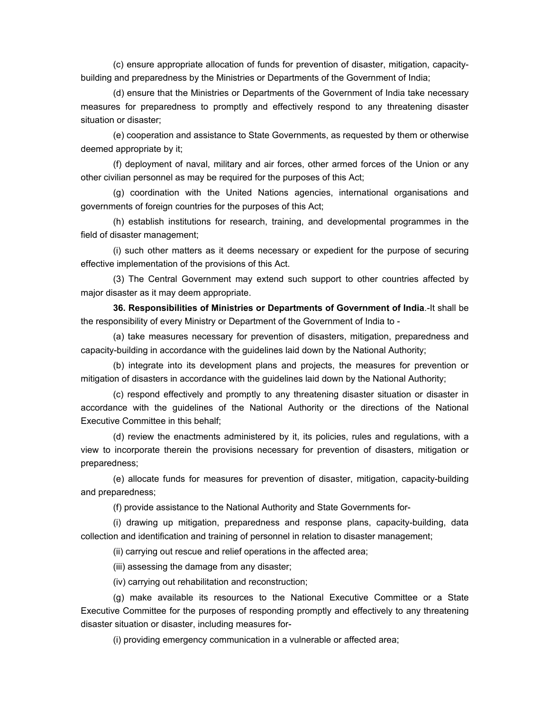(c) ensure appropriate allocation of funds for prevention of disaster, mitigation, capacitybuilding and preparedness by the Ministries or Departments of the Government of India;

(d) ensure that the Ministries or Departments of the Government of India take necessary measures for preparedness to promptly and effectively respond to any threatening disaster situation or disaster;

(e) cooperation and assistance to State Governments, as requested by them or otherwise deemed appropriate by it;

(f) deployment of naval, military and air forces, other armed forces of the Union or any other civilian personnel as may be required for the purposes of this Act;

(g) coordination with the United Nations agencies, international organisations and governments of foreign countries for the purposes of this Act;

(h) establish institutions for research, training, and developmental programmes in the field of disaster management;

(i) such other matters as it deems necessary or expedient for the purpose of securing effective implementation of the provisions of this Act.

(3) The Central Government may extend such support to other countries affected by major disaster as it may deem appropriate.

**36. Responsibilities of Ministries or Departments of Government of India**.-It shall be the responsibility of every Ministry or Department of the Government of India to -

(a) take measures necessary for prevention of disasters, mitigation, preparedness and capacity-building in accordance with the guidelines laid down by the National Authority;

(b) integrate into its development plans and projects, the measures for prevention or mitigation of disasters in accordance with the guidelines laid down by the National Authority;

(c) respond effectively and promptly to any threatening disaster situation or disaster in accordance with the guidelines of the National Authority or the directions of the National Executive Committee in this behalf;

(d) review the enactments administered by it, its policies, rules and regulations, with a view to incorporate therein the provisions necessary for prevention of disasters, mitigation or preparedness;

(e) allocate funds for measures for prevention of disaster, mitigation, capacity-building and preparedness;

(f) provide assistance to the National Authority and State Governments for-

(i) drawing up mitigation, preparedness and response plans, capacity-building, data collection and identification and training of personnel in relation to disaster management;

(ii) carrying out rescue and relief operations in the affected area;

(iii) assessing the damage from any disaster;

(iv) carrying out rehabilitation and reconstruction;

(g) make available its resources to the National Executive Committee or a State Executive Committee for the purposes of responding promptly and effectively to any threatening disaster situation or disaster, including measures for-

(i) providing emergency communication in a vulnerable or affected area;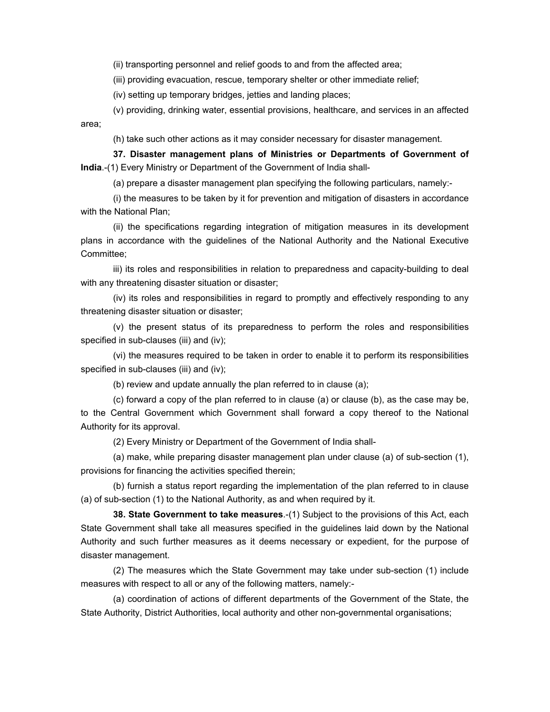(ii) transporting personnel and relief goods to and from the affected area;

(iii) providing evacuation, rescue, temporary shelter or other immediate relief;

(iv) setting up temporary bridges, jetties and landing places;

(v) providing, drinking water, essential provisions, healthcare, and services in an affected area;

(h) take such other actions as it may consider necessary for disaster management.

**37. Disaster management plans of Ministries or Departments of Government of India**.-(1) Every Ministry or Department of the Government of India shall-

(a) prepare a disaster management plan specifying the following particulars, namely:-

(i) the measures to be taken by it for prevention and mitigation of disasters in accordance with the National Plan;

(ii) the specifications regarding integration of mitigation measures in its development plans in accordance with the guidelines of the National Authority and the National Executive Committee;

iii) its roles and responsibilities in relation to preparedness and capacity-building to deal with any threatening disaster situation or disaster;

(iv) its roles and responsibilities in regard to promptly and effectively responding to any threatening disaster situation or disaster;

(v) the present status of its preparedness to perform the roles and responsibilities specified in sub-clauses (iii) and (iv);

(vi) the measures required to be taken in order to enable it to perform its responsibilities specified in sub-clauses (iii) and (iv);

(b) review and update annually the plan referred to in clause (a);

(c) forward a copy of the plan referred to in clause (a) or clause (b), as the case may be, to the Central Government which Government shall forward a copy thereof to the National Authority for its approval.

(2) Every Ministry or Department of the Government of India shall-

(a) make, while preparing disaster management plan under clause (a) of sub-section (1), provisions for financing the activities specified therein;

(b) furnish a status report regarding the implementation of the plan referred to in clause (a) of sub-section (1) to the National Authority, as and when required by it.

**38. State Government to take measures**.-(1) Subject to the provisions of this Act, each State Government shall take all measures specified in the guidelines laid down by the National Authority and such further measures as it deems necessary or expedient, for the purpose of disaster management.

(2) The measures which the State Government may take under sub-section (1) include measures with respect to all or any of the following matters, namely:-

(a) coordination of actions of different departments of the Government of the State, the State Authority, District Authorities, local authority and other non-governmental organisations;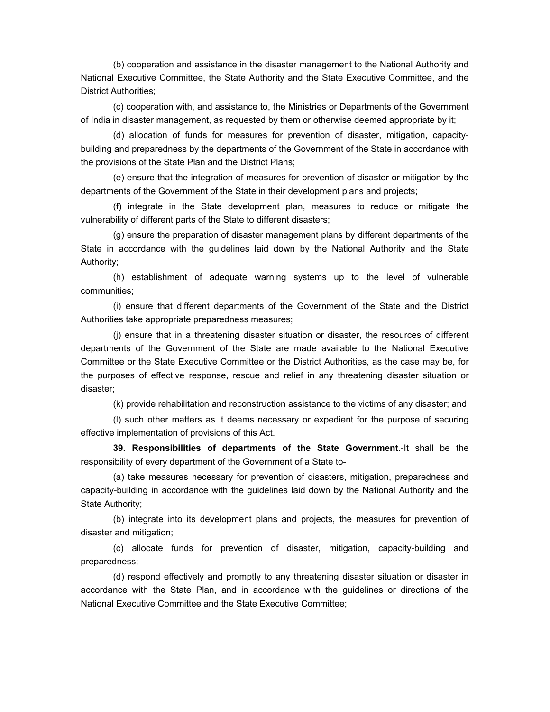(b) cooperation and assistance in the disaster management to the National Authority and National Executive Committee, the State Authority and the State Executive Committee, and the District Authorities;

(c) cooperation with, and assistance to, the Ministries or Departments of the Government of India in disaster management, as requested by them or otherwise deemed appropriate by it;

(d) allocation of funds for measures for prevention of disaster, mitigation, capacitybuilding and preparedness by the departments of the Government of the State in accordance with the provisions of the State Plan and the District Plans;

(e) ensure that the integration of measures for prevention of disaster or mitigation by the departments of the Government of the State in their development plans and projects;

(f) integrate in the State development plan, measures to reduce or mitigate the vulnerability of different parts of the State to different disasters;

(g) ensure the preparation of disaster management plans by different departments of the State in accordance with the guidelines laid down by the National Authority and the State Authority;

(h) establishment of adequate warning systems up to the level of vulnerable communities;

(i) ensure that different departments of the Government of the State and the District Authorities take appropriate preparedness measures;

(j) ensure that in a threatening disaster situation or disaster, the resources of different departments of the Government of the State are made available to the National Executive Committee or the State Executive Committee or the District Authorities, as the case may be, for the purposes of effective response, rescue and relief in any threatening disaster situation or disaster;

(k) provide rehabilitation and reconstruction assistance to the victims of any disaster; and

(l) such other matters as it deems necessary or expedient for the purpose of securing effective implementation of provisions of this Act.

**39. Responsibilities of departments of the State Government**.-It shall be the responsibility of every department of the Government of a State to-

(a) take measures necessary for prevention of disasters, mitigation, preparedness and capacity-building in accordance with the guidelines laid down by the National Authority and the State Authority;

(b) integrate into its development plans and projects, the measures for prevention of disaster and mitigation;

(c) allocate funds for prevention of disaster, mitigation, capacity-building and preparedness;

(d) respond effectively and promptly to any threatening disaster situation or disaster in accordance with the State Plan, and in accordance with the guidelines or directions of the National Executive Committee and the State Executive Committee;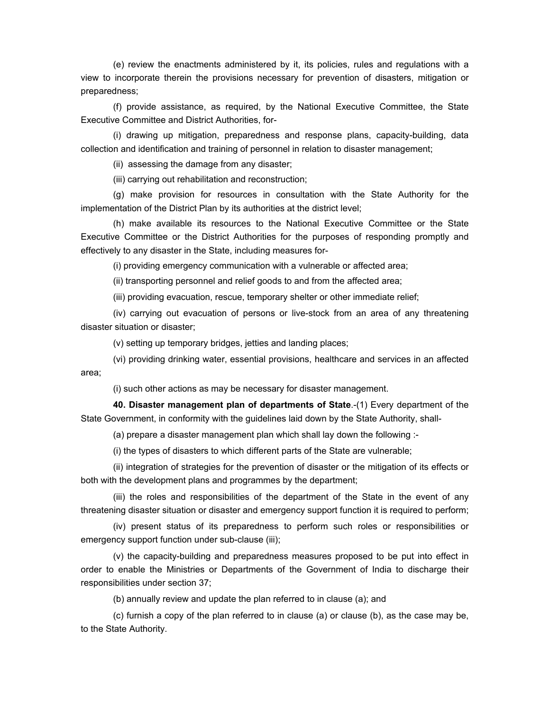(e) review the enactments administered by it, its policies, rules and regulations with a view to incorporate therein the provisions necessary for prevention of disasters, mitigation or preparedness;

(f) provide assistance, as required, by the National Executive Committee, the State Executive Committee and District Authorities, for-

(i) drawing up mitigation, preparedness and response plans, capacity-building, data collection and identification and training of personnel in relation to disaster management;

(ii) assessing the damage from any disaster;

(iii) carrying out rehabilitation and reconstruction;

(g) make provision for resources in consultation with the State Authority for the implementation of the District Plan by its authorities at the district level;

(h) make available its resources to the National Executive Committee or the State Executive Committee or the District Authorities for the purposes of responding promptly and effectively to any disaster in the State, including measures for-

(i) providing emergency communication with a vulnerable or affected area;

(ii) transporting personnel and relief goods to and from the affected area;

(iii) providing evacuation, rescue, temporary shelter or other immediate relief;

(iv) carrying out evacuation of persons or live-stock from an area of any threatening disaster situation or disaster;

(v) setting up temporary bridges, jetties and landing places;

(vi) providing drinking water, essential provisions, healthcare and services in an affected area;

(i) such other actions as may be necessary for disaster management.

**40. Disaster management plan of departments of State**.-(1) Every department of the State Government, in conformity with the guidelines laid down by the State Authority, shall-

(a) prepare a disaster management plan which shall lay down the following :-

(i) the types of disasters to which different parts of the State are vulnerable;

(ii) integration of strategies for the prevention of disaster or the mitigation of its effects or both with the development plans and programmes by the department;

(iii) the roles and responsibilities of the department of the State in the event of any threatening disaster situation or disaster and emergency support function it is required to perform;

(iv) present status of its preparedness to perform such roles or responsibilities or emergency support function under sub-clause (iii);

(v) the capacity-building and preparedness measures proposed to be put into effect in order to enable the Ministries or Departments of the Government of India to discharge their responsibilities under section 37;

(b) annually review and update the plan referred to in clause (a); and

(c) furnish a copy of the plan referred to in clause (a) or clause (b), as the case may be, to the State Authority.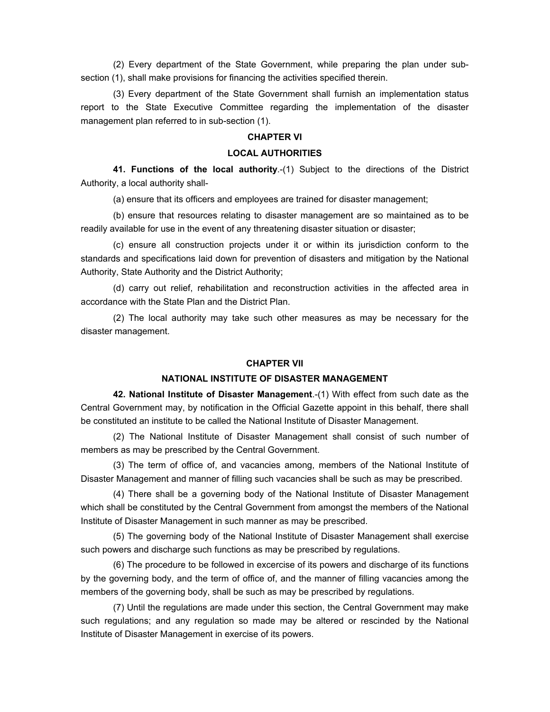(2) Every department of the State Government, while preparing the plan under subsection (1), shall make provisions for financing the activities specified therein.

(3) Every department of the State Government shall furnish an implementation status report to the State Executive Committee regarding the implementation of the disaster management plan referred to in sub-section (1).

#### **CHAPTER VI**

## **LOCAL AUTHORITIES**

**41. Functions of the local authority**.-(1) Subject to the directions of the District Authority, a local authority shall-

(a) ensure that its officers and employees are trained for disaster management;

(b) ensure that resources relating to disaster management are so maintained as to be readily available for use in the event of any threatening disaster situation or disaster;

(c) ensure all construction projects under it or within its jurisdiction conform to the standards and specifications laid down for prevention of disasters and mitigation by the National Authority, State Authority and the District Authority;

(d) carry out relief, rehabilitation and reconstruction activities in the affected area in accordance with the State Plan and the District Plan.

(2) The local authority may take such other measures as may be necessary for the disaster management.

#### **CHAPTER VII**

#### **NATIONAL INSTITUTE OF DISASTER MANAGEMENT**

**42. National Institute of Disaster Management**.-(1) With effect from such date as the Central Government may, by notification in the Official Gazette appoint in this behalf, there shall be constituted an institute to be called the National Institute of Disaster Management.

(2) The National Institute of Disaster Management shall consist of such number of members as may be prescribed by the Central Government.

(3) The term of office of, and vacancies among, members of the National Institute of Disaster Management and manner of filling such vacancies shall be such as may be prescribed.

(4) There shall be a governing body of the National Institute of Disaster Management which shall be constituted by the Central Government from amongst the members of the National Institute of Disaster Management in such manner as may be prescribed.

(5) The governing body of the National Institute of Disaster Management shall exercise such powers and discharge such functions as may be prescribed by regulations.

(6) The procedure to be followed in excercise of its powers and discharge of its functions by the governing body, and the term of office of, and the manner of filling vacancies among the members of the governing body, shall be such as may be prescribed by regulations.

(7) Until the regulations are made under this section, the Central Government may make such regulations; and any regulation so made may be altered or rescinded by the National Institute of Disaster Management in exercise of its powers.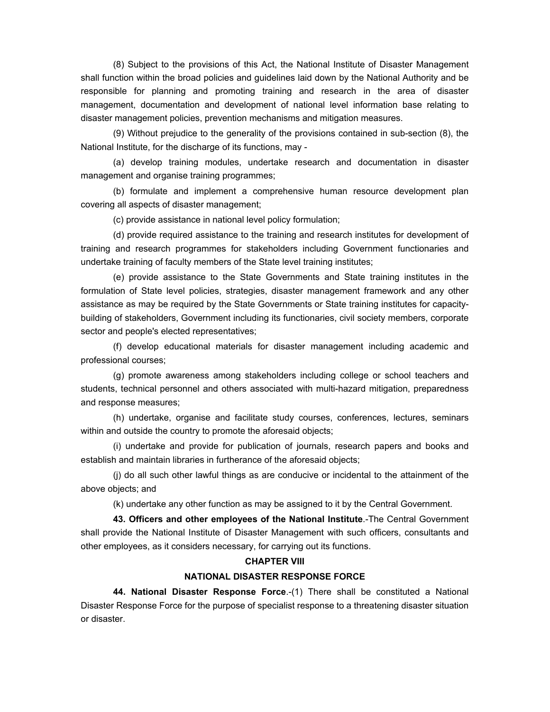(8) Subject to the provisions of this Act, the National Institute of Disaster Management shall function within the broad policies and guidelines laid down by the National Authority and be responsible for planning and promoting training and research in the area of disaster management, documentation and development of national level information base relating to disaster management policies, prevention mechanisms and mitigation measures.

(9) Without prejudice to the generality of the provisions contained in sub-section (8), the National Institute, for the discharge of its functions, may -

(a) develop training modules, undertake research and documentation in disaster management and organise training programmes;

(b) formulate and implement a comprehensive human resource development plan covering all aspects of disaster management;

(c) provide assistance in national level policy formulation;

(d) provide required assistance to the training and research institutes for development of training and research programmes for stakeholders including Government functionaries and undertake training of faculty members of the State level training institutes;

(e) provide assistance to the State Governments and State training institutes in the formulation of State level policies, strategies, disaster management framework and any other assistance as may be required by the State Governments or State training institutes for capacitybuilding of stakeholders, Government including its functionaries, civil society members, corporate sector and people's elected representatives;

(f) develop educational materials for disaster management including academic and professional courses;

(g) promote awareness among stakeholders including college or school teachers and students, technical personnel and others associated with multi-hazard mitigation, preparedness and response measures;

(h) undertake, organise and facilitate study courses, conferences, lectures, seminars within and outside the country to promote the aforesaid objects;

(i) undertake and provide for publication of journals, research papers and books and establish and maintain libraries in furtherance of the aforesaid objects;

(j) do all such other lawful things as are conducive or incidental to the attainment of the above objects; and

(k) undertake any other function as may be assigned to it by the Central Government.

**43. Officers and other employees of the National Institute**.-The Central Government shall provide the National Institute of Disaster Management with such officers, consultants and other employees, as it considers necessary, for carrying out its functions.

#### **CHAPTER VIII**

#### **NATIONAL DISASTER RESPONSE FORCE**

**44. National Disaster Response Force**.-(1) There shall be constituted a National Disaster Response Force for the purpose of specialist response to a threatening disaster situation or disaster.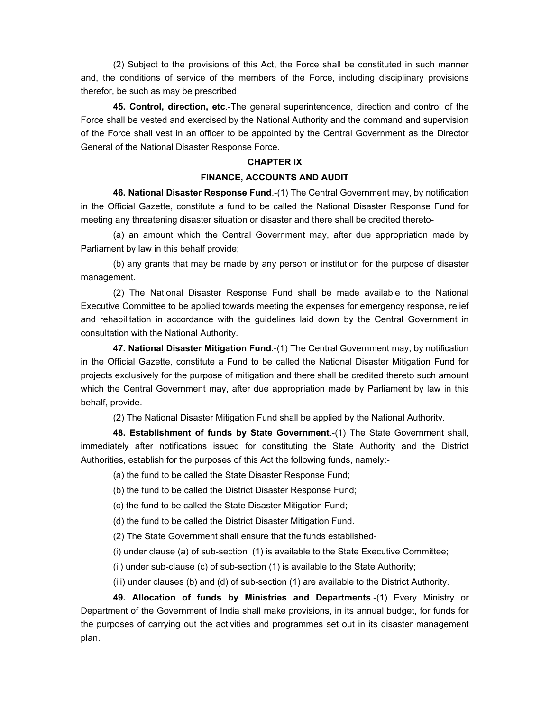(2) Subject to the provisions of this Act, the Force shall be constituted in such manner and, the conditions of service of the members of the Force, including disciplinary provisions therefor, be such as may be prescribed.

**45. Control, direction, etc**.-The general superintendence, direction and control of the Force shall be vested and exercised by the National Authority and the command and supervision of the Force shall vest in an officer to be appointed by the Central Government as the Director General of the National Disaster Response Force.

#### **CHAPTER IX**

#### **FINANCE, ACCOUNTS AND AUDIT**

**46. National Disaster Response Fund**.-(1) The Central Government may, by notification in the Official Gazette, constitute a fund to be called the National Disaster Response Fund for meeting any threatening disaster situation or disaster and there shall be credited thereto-

(a) an amount which the Central Government may, after due appropriation made by Parliament by law in this behalf provide;

(b) any grants that may be made by any person or institution for the purpose of disaster management.

(2) The National Disaster Response Fund shall be made available to the National Executive Committee to be applied towards meeting the expenses for emergency response, relief and rehabilitation in accordance with the guidelines laid down by the Central Government in consultation with the National Authority.

**47. National Disaster Mitigation Fund**.-(1) The Central Government may, by notification in the Official Gazette, constitute a Fund to be called the National Disaster Mitigation Fund for projects exclusively for the purpose of mitigation and there shall be credited thereto such amount which the Central Government may, after due appropriation made by Parliament by law in this behalf, provide.

(2) The National Disaster Mitigation Fund shall be applied by the National Authority.

**48. Establishment of funds by State Government**.-(1) The State Government shall, immediately after notifications issued for constituting the State Authority and the District Authorities, establish for the purposes of this Act the following funds, namely:-

(a) the fund to be called the State Disaster Response Fund;

(b) the fund to be called the District Disaster Response Fund;

(c) the fund to be called the State Disaster Mitigation Fund;

(d) the fund to be called the District Disaster Mitigation Fund.

(2) The State Government shall ensure that the funds established-

(i) under clause (a) of sub-section (1) is available to the State Executive Committee;

(ii) under sub-clause (c) of sub-section (1) is available to the State Authority;

(iii) under clauses (b) and (d) of sub-section (1) are available to the District Authority.

**49. Allocation of funds by Ministries and Departments**.-(1) Every Ministry or Department of the Government of India shall make provisions, in its annual budget, for funds for the purposes of carrying out the activities and programmes set out in its disaster management plan.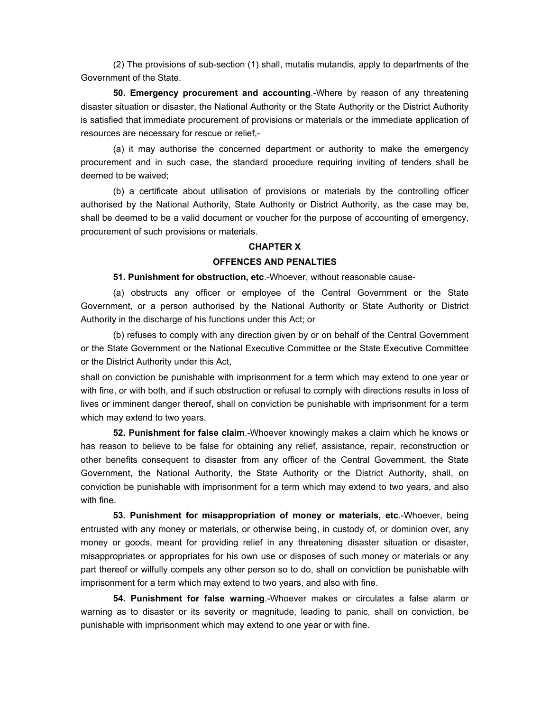(2) The provisions of sub-section (1) shall, mutatis mutandis, apply to departments of the Government of the State.

**50. Emergency procurement and accounting**.-Where by reason of any threatening disaster situation or disaster, the National Authority or the State Authority or the District Authority is satisfied that immediate procurement of provisions or materials or the immediate application of resources are necessary for rescue or relief,-

(a) it may authorise the concerned department or authority to make the emergency procurement and in such case, the standard procedure requiring inviting of tenders shall be deemed to be waived;

(b) a certificate about utilisation of provisions or materials by the controlling officer authorised by the National Authority, State Authority or District Authority, as the case may be, shall be deemed to be a valid document or voucher for the purpose of accounting of emergency, procurement of such provisions or materials.

#### **CHAPTER X**

#### **OFFENCES AND PENALTIES**

**51. Punishment for obstruction, etc**.-Whoever, without reasonable cause-

(a) obstructs any officer or employee of the Central Government or the State Government, or a person authorised by the National Authority or State Authority or District Authority in the discharge of his functions under this Act; or

(b) refuses to comply with any direction given by or on behalf of the Central Government or the State Government or the National Executive Committee or the State Executive Committee or the District Authority under this Act,

shall on conviction be punishable with imprisonment for a term which may extend to one year or with fine, or with both, and if such obstruction or refusal to comply with directions results in loss of lives or imminent danger thereof, shall on conviction be punishable with imprisonment for a term which may extend to two years.

**52. Punishment for false claim**.-Whoever knowingly makes a claim which he knows or has reason to believe to be false for obtaining any relief, assistance, repair, reconstruction or other benefits consequent to disaster from any officer of the Central Government, the State Government, the National Authority, the State Authority or the District Authority, shall, on conviction be punishable with imprisonment for a term which may extend to two years, and also with fine.

**53. Punishment for misappropriation of money or materials, etc**.-Whoever, being entrusted with any money or materials, or otherwise being, in custody of, or dominion over, any money or goods, meant for providing relief in any threatening disaster situation or disaster, misappropriates or appropriates for his own use or disposes of such money or materials or any part thereof or wilfully compels any other person so to do, shall on conviction be punishable with imprisonment for a term which may extend to two years, and also with fine.

**54. Punishment for false warning**.-Whoever makes or circulates a false alarm or warning as to disaster or its severity or magnitude, leading to panic, shall on conviction, be punishable with imprisonment which may extend to one year or with fine.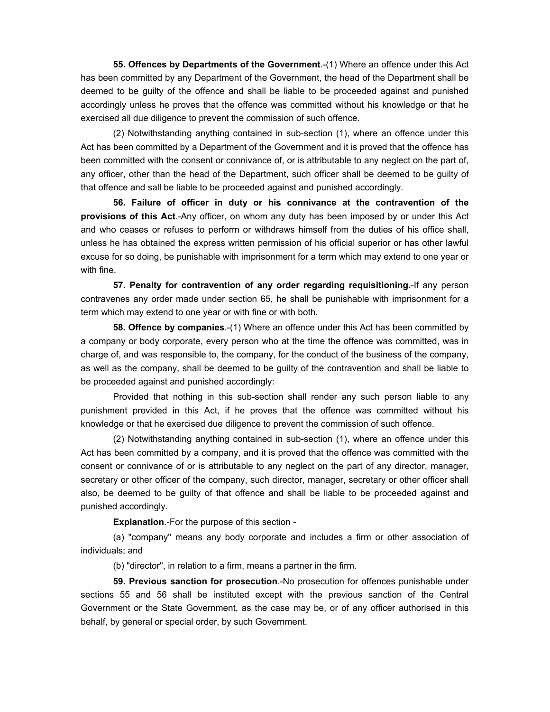**55. Offences by Departments of the Government**.-(1) Where an offence under this Act has been committed by any Department of the Government, the head of the Department shall be deemed to be guilty of the offence and shall be liable to be proceeded against and punished accordingly unless he proves that the offence was committed without his knowledge or that he exercised all due diligence to prevent the commission of such offence.

(2) Notwithstanding anything contained in sub-section (1), where an offence under this Act has been committed by a Department of the Government and it is proved that the offence has been committed with the consent or connivance of, or is attributable to any neglect on the part of, any officer, other than the head of the Department, such officer shall be deemed to be guilty of that offence and sall be liable to be proceeded against and punished accordingly.

**56. Failure of officer in duty or his connivance at the contravention of the provisions of this Act**.-Any officer, on whom any duty has been imposed by or under this Act and who ceases or refuses to perform or withdraws himself from the duties of his office shall, unless he has obtained the express written permission of his official superior or has other lawful excuse for so doing, be punishable with imprisonment for a term which may extend to one year or with fine.

**57. Penalty for contravention of any order regarding requisitioning**.-If any person contravenes any order made under section 65, he shall be punishable with imprisonment for a term which may extend to one year or with fine or with both.

**58. Offence by companies**.-(1) Where an offence under this Act has been committed by a company or body corporate, every person who at the time the offence was committed, was in charge of, and was responsible to, the company, for the conduct of the business of the company, as well as the company, shall be deemed to be guilty of the contravention and shall be liable to be proceeded against and punished accordingly:

Provided that nothing in this sub-section shall render any such person liable to any punishment provided in this Act, if he proves that the offence was committed without his knowledge or that he exercised due diligence to prevent the commission of such offence.

(2) Notwithstanding anything contained in sub-section (1), where an offence under this Act has been committed by a company, and it is proved that the offence was committed with the consent or connivance of or is attributable to any neglect on the part of any director, manager, secretary or other officer of the company, such director, manager, secretary or other officer shall also, be deemed to be guilty of that offence and shall be liable to be proceeded against and punished accordingly.

**Explanation**.-For the purpose of this section -

(a) "company" means any body corporate and includes a firm or other association of individuals; and

(b) "director", in relation to a firm, means a partner in the firm.

**59. Previous sanction for prosecution**.-No prosecution for offences punishable under sections 55 and 56 shall be instituted except with the previous sanction of the Central Government or the State Government, as the case may be, or of any officer authorised in this behalf, by general or special order, by such Government.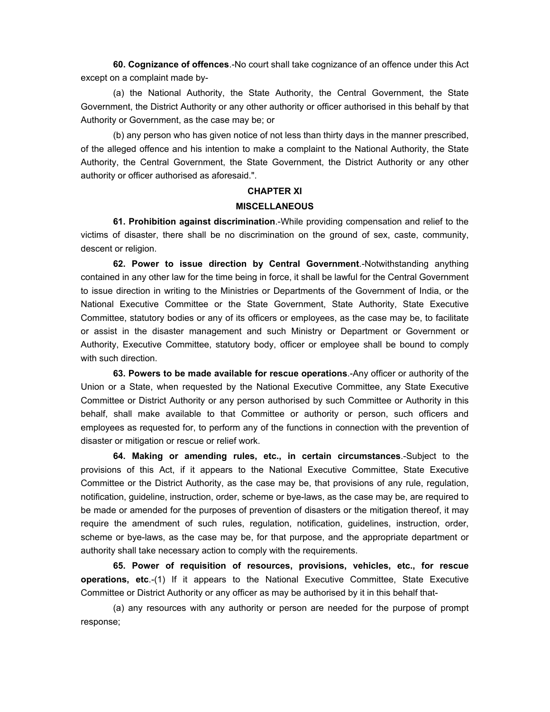**60. Cognizance of offences**.-No court shall take cognizance of an offence under this Act except on a complaint made by-

(a) the National Authority, the State Authority, the Central Government, the State Government, the District Authority or any other authority or officer authorised in this behalf by that Authority or Government, as the case may be; or

(b) any person who has given notice of not less than thirty days in the manner prescribed, of the alleged offence and his intention to make a complaint to the National Authority, the State Authority, the Central Government, the State Government, the District Authority or any other authority or officer authorised as aforesaid.".

#### **CHAPTER XI**

#### **MISCELLANEOUS**

**61. Prohibition against discrimination**.-While providing compensation and relief to the victims of disaster, there shall be no discrimination on the ground of sex, caste, community, descent or religion.

**62. Power to issue direction by Central Government**.-Notwithstanding anything contained in any other law for the time being in force, it shall be lawful for the Central Government to issue direction in writing to the Ministries or Departments of the Government of India, or the National Executive Committee or the State Government, State Authority, State Executive Committee, statutory bodies or any of its officers or employees, as the case may be, to facilitate or assist in the disaster management and such Ministry or Department or Government or Authority, Executive Committee, statutory body, officer or employee shall be bound to comply with such direction.

**63. Powers to be made available for rescue operations**.-Any officer or authority of the Union or a State, when requested by the National Executive Committee, any State Executive Committee or District Authority or any person authorised by such Committee or Authority in this behalf, shall make available to that Committee or authority or person, such officers and employees as requested for, to perform any of the functions in connection with the prevention of disaster or mitigation or rescue or relief work.

**64. Making or amending rules, etc., in certain circumstances**.-Subject to the provisions of this Act, if it appears to the National Executive Committee, State Executive Committee or the District Authority, as the case may be, that provisions of any rule, regulation, notification, guideline, instruction, order, scheme or bye-laws, as the case may be, are required to be made or amended for the purposes of prevention of disasters or the mitigation thereof, it may require the amendment of such rules, regulation, notification, guidelines, instruction, order, scheme or bye-laws, as the case may be, for that purpose, and the appropriate department or authority shall take necessary action to comply with the requirements.

**65. Power of requisition of resources, provisions, vehicles, etc., for rescue operations, etc**.-(1) If it appears to the National Executive Committee, State Executive Committee or District Authority or any officer as may be authorised by it in this behalf that-

(a) any resources with any authority or person are needed for the purpose of prompt response;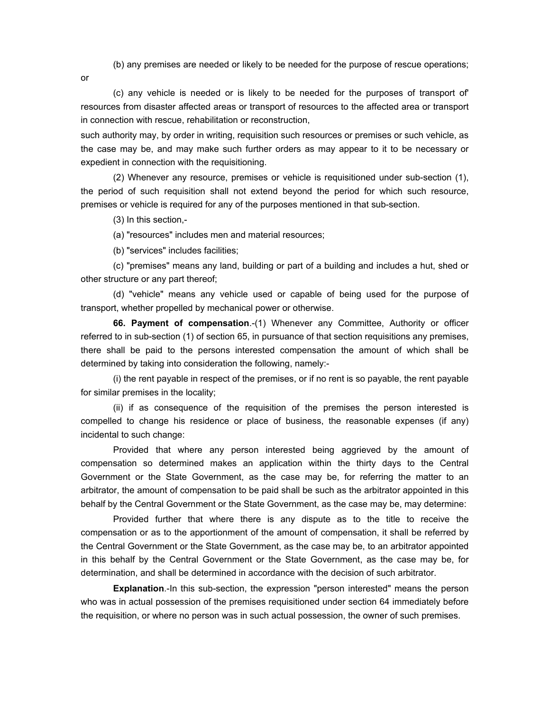(b) any premises are needed or likely to be needed for the purpose of rescue operations;

or

(c) any vehicle is needed or is likely to be needed for the purposes of transport of' resources from disaster affected areas or transport of resources to the affected area or transport in connection with rescue, rehabilitation or reconstruction,

such authority may, by order in writing, requisition such resources or premises or such vehicle, as the case may be, and may make such further orders as may appear to it to be necessary or expedient in connection with the requisitioning.

(2) Whenever any resource, premises or vehicle is requisitioned under sub-section (1), the period of such requisition shall not extend beyond the period for which such resource, premises or vehicle is required for any of the purposes mentioned in that sub-section.

(3) In this section,-

(a) "resources" includes men and material resources;

(b) "services" includes facilities;

(c) "premises" means any land, building or part of a building and includes a hut, shed or other structure or any part thereof;

(d) "vehicle" means any vehicle used or capable of being used for the purpose of transport, whether propelled by mechanical power or otherwise.

**66. Payment of compensation**.-(1) Whenever any Committee, Authority or officer referred to in sub-section (1) of section 65, in pursuance of that section requisitions any premises, there shall be paid to the persons interested compensation the amount of which shall be determined by taking into consideration the following, namely:-

(i) the rent payable in respect of the premises, or if no rent is so payable, the rent payable for similar premises in the locality;

(ii) if as consequence of the requisition of the premises the person interested is compelled to change his residence or place of business, the reasonable expenses (if any) incidental to such change:

Provided that where any person interested being aggrieved by the amount of compensation so determined makes an application within the thirty days to the Central Government or the State Government, as the case may be, for referring the matter to an arbitrator, the amount of compensation to be paid shall be such as the arbitrator appointed in this behalf by the Central Government or the State Government, as the case may be, may determine:

Provided further that where there is any dispute as to the title to receive the compensation or as to the apportionment of the amount of compensation, it shall be referred by the Central Government or the State Government, as the case may be, to an arbitrator appointed in this behalf by the Central Government or the State Government, as the case may be, for determination, and shall be determined in accordance with the decision of such arbitrator.

**Explanation**.-In this sub-section, the expression "person interested" means the person who was in actual possession of the premises requisitioned under section 64 immediately before the requisition, or where no person was in such actual possession, the owner of such premises.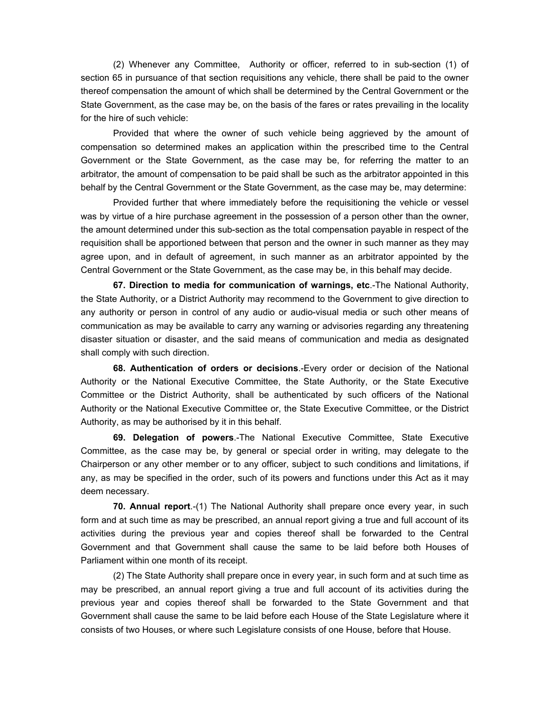(2) Whenever any Committee, Authority or officer, referred to in sub-section (1) of section 65 in pursuance of that section requisitions any vehicle, there shall be paid to the owner thereof compensation the amount of which shall be determined by the Central Government or the State Government, as the case may be, on the basis of the fares or rates prevailing in the locality for the hire of such vehicle:

Provided that where the owner of such vehicle being aggrieved by the amount of compensation so determined makes an application within the prescribed time to the Central Government or the State Government, as the case may be, for referring the matter to an arbitrator, the amount of compensation to be paid shall be such as the arbitrator appointed in this behalf by the Central Government or the State Government, as the case may be, may determine:

Provided further that where immediately before the requisitioning the vehicle or vessel was by virtue of a hire purchase agreement in the possession of a person other than the owner, the amount determined under this sub-section as the total compensation payable in respect of the requisition shall be apportioned between that person and the owner in such manner as they may agree upon, and in default of agreement, in such manner as an arbitrator appointed by the Central Government or the State Government, as the case may be, in this behalf may decide.

**67. Direction to media for communication of warnings, etc**.-The National Authority, the State Authority, or a District Authority may recommend to the Government to give direction to any authority or person in control of any audio or audio-visual media or such other means of communication as may be available to carry any warning or advisories regarding any threatening disaster situation or disaster, and the said means of communication and media as designated shall comply with such direction.

**68. Authentication of orders or decisions**.-Every order or decision of the National Authority or the National Executive Committee, the State Authority, or the State Executive Committee or the District Authority, shall be authenticated by such officers of the National Authority or the National Executive Committee or, the State Executive Committee, or the District Authority, as may be authorised by it in this behalf.

**69. Delegation of powers**.-The National Executive Committee, State Executive Committee, as the case may be, by general or special order in writing, may delegate to the Chairperson or any other member or to any officer, subject to such conditions and limitations, if any, as may be specified in the order, such of its powers and functions under this Act as it may deem necessary.

**70. Annual report**.-(1) The National Authority shall prepare once every year, in such form and at such time as may be prescribed, an annual report giving a true and full account of its activities during the previous year and copies thereof shall be forwarded to the Central Government and that Government shall cause the same to be laid before both Houses of Parliament within one month of its receipt.

(2) The State Authority shall prepare once in every year, in such form and at such time as may be prescribed, an annual report giving a true and full account of its activities during the previous year and copies thereof shall be forwarded to the State Government and that Government shall cause the same to be laid before each House of the State Legislature where it consists of two Houses, or where such Legislature consists of one House, before that House.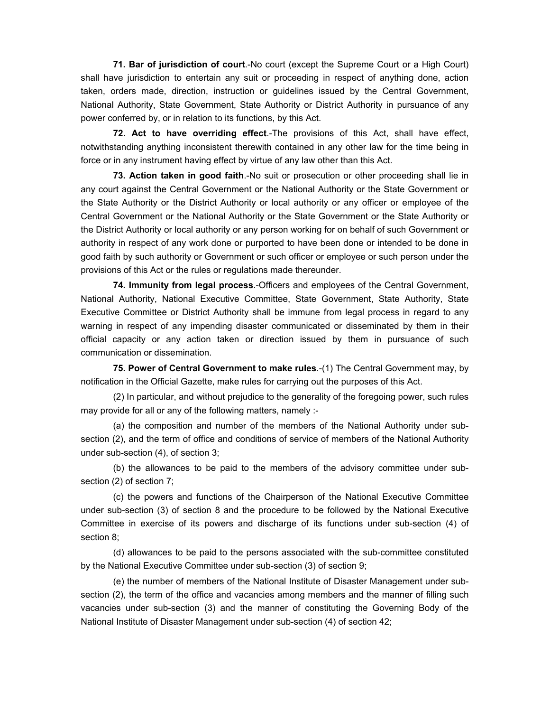**71. Bar of jurisdiction of court**.-No court (except the Supreme Court or a High Court) shall have jurisdiction to entertain any suit or proceeding in respect of anything done, action taken, orders made, direction, instruction or guidelines issued by the Central Government, National Authority, State Government, State Authority or District Authority in pursuance of any power conferred by, or in relation to its functions, by this Act.

**72. Act to have overriding effect**.-The provisions of this Act, shall have effect, notwithstanding anything inconsistent therewith contained in any other law for the time being in force or in any instrument having effect by virtue of any law other than this Act.

**73. Action taken in good faith**.-No suit or prosecution or other proceeding shall lie in any court against the Central Government or the National Authority or the State Government or the State Authority or the District Authority or local authority or any officer or employee of the Central Government or the National Authority or the State Government or the State Authority or the District Authority or local authority or any person working for on behalf of such Government or authority in respect of any work done or purported to have been done or intended to be done in good faith by such authority or Government or such officer or employee or such person under the provisions of this Act or the rules or regulations made thereunder.

**74. Immunity from legal process**.-Officers and employees of the Central Government, National Authority, National Executive Committee, State Government, State Authority, State Executive Committee or District Authority shall be immune from legal process in regard to any warning in respect of any impending disaster communicated or disseminated by them in their official capacity or any action taken or direction issued by them in pursuance of such communication or dissemination.

**75. Power of Central Government to make rules**.-(1) The Central Government may, by notification in the Official Gazette, make rules for carrying out the purposes of this Act.

(2) In particular, and without prejudice to the generality of the foregoing power, such rules may provide for all or any of the following matters, namely :-

(a) the composition and number of the members of the National Authority under subsection (2), and the term of office and conditions of service of members of the National Authority under sub-section (4), of section 3;

(b) the allowances to be paid to the members of the advisory committee under subsection (2) of section 7;

(c) the powers and functions of the Chairperson of the National Executive Committee under sub-section (3) of section 8 and the procedure to be followed by the National Executive Committee in exercise of its powers and discharge of its functions under sub-section (4) of section 8;

(d) allowances to be paid to the persons associated with the sub-committee constituted by the National Executive Committee under sub-section (3) of section 9;

(e) the number of members of the National Institute of Disaster Management under subsection (2), the term of the office and vacancies among members and the manner of filling such vacancies under sub-section (3) and the manner of constituting the Governing Body of the National Institute of Disaster Management under sub-section (4) of section 42;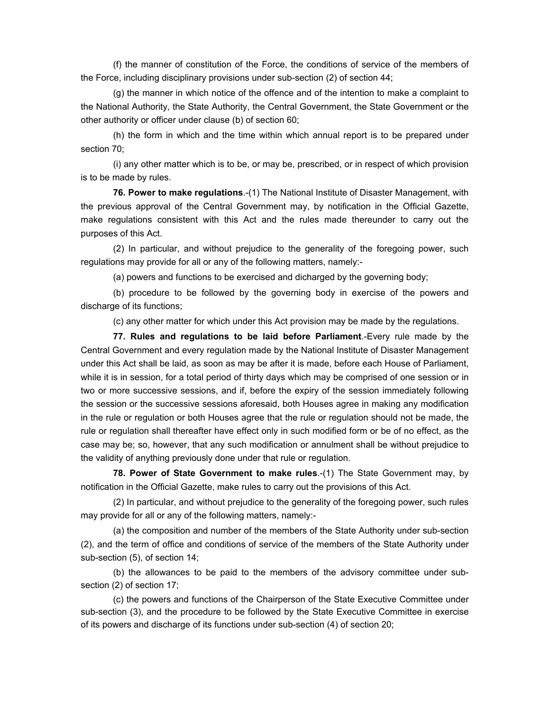(f) the manner of constitution of the Force, the conditions of service of the members of the Force, including disciplinary provisions under sub-section (2) of section 44;

(g) the manner in which notice of the offence and of the intention to make a complaint to the National Authority, the State Authority, the Central Government, the State Government or the other authority or officer under clause (b) of section 60;

(h) the form in which and the time within which annual report is to be prepared under section 70;

(i) any other matter which is to be, or may be, prescribed, or in respect of which provision is to be made by rules.

**76. Power to make regulations**.-(1) The National Institute of Disaster Management, with the previous approval of the Central Government may, by notification in the Official Gazette, make regulations consistent with this Act and the rules made thereunder to carry out the purposes of this Act.

(2) In particular, and without prejudice to the generality of the foregoing power, such regulations may provide for all or any of the following matters, namely:-

(a) powers and functions to be exercised and dicharged by the governing body;

(b) procedure to be followed by the governing body in exercise of the powers and discharge of its functions;

(c) any other matter for which under this Act provision may be made by the regulations.

**77. Rules and regulations to be laid before Parliament**.-Every rule made by the Central Government and every regulation made by the National Institute of Disaster Management under this Act shall be laid, as soon as may be after it is made, before each House of Parliament, while it is in session, for a total period of thirty days which may be comprised of one session or in two or more successive sessions, and if, before the expiry of the session immediately following the session or the successive sessions aforesaid, both Houses agree in making any modification in the rule or regulation or both Houses agree that the rule or regulation should not be made, the rule or regulation shall thereafter have effect only in such modified form or be of no effect, as the case may be; so, however, that any such modification or annulment shall be without prejudice to the validity of anything previously done under that rule or regulation.

**78. Power of State Government to make rules**.-(1) The State Government may, by notification in the Official Gazette, make rules to carry out the provisions of this Act.

(2) In particular, and without prejudice to the generality of the foregoing power, such rules may provide for all or any of the following matters, namely:-

(a) the composition and number of the members of the State Authority under sub-section (2), and the term of office and conditions of service of the members of the State Authority under sub-section (5), of section 14;

(b) the allowances to be paid to the members of the advisory committee under subsection (2) of section 17;

(c) the powers and functions of the Chairperson of the State Executive Committee under sub-section (3), and the procedure to be followed by the State Executive Committee in exercise of its powers and discharge of its functions under sub-section (4) of section 20;